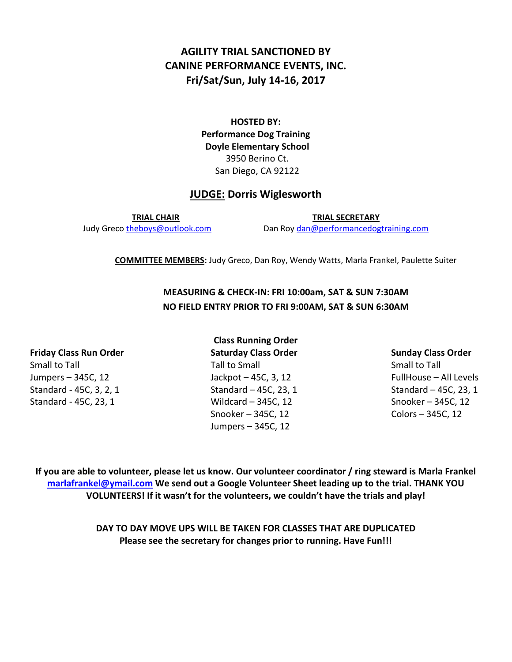# **AGILITY TRIAL SANCTIONED BY CANINE PERFORMANCE EVENTS, INC. Fri/Sat/Sun, July 14-16, 2017**

**HOSTED BY: Performance Dog Training Doyle Elementary School** 3950 Berino Ct. San Diego, CA 92122

### **JUDGE: Dorris Wiglesworth**

**TRIAL CHAIR TRIAL SECRETARY** Judy Greco [theboys@outlook.com](mailto:theboys@outlook.com) Dan Roy [dan@performancedogtraining.com](mailto:dan@performancedogtraining.com)

**COMMITTEE MEMBERS:** Judy Greco, Dan Roy, Wendy Watts, Marla Frankel, Paulette Suiter

# **MEASURING & CHECK-IN: FRI 10:00am, SAT & SUN 7:30AM NO FIELD ENTRY PRIOR TO FRI 9:00AM, SAT & SUN 6:30AM**

**Class Running Order Friday Class Run Order Saturday Class Order Sunday Class Order** Small to Tall Tall to Small Tall to Small Small Small to Tall Small to Tall Small to Tall Small to Tall Small to Tall Jumpers – 345C, 12 Jackpot – 45C, 3, 12 FullHouse – All Levels Standard - 45C, 3, 2, 1 Standard – 45C, 23, 1 Standard – 45C, 23, 1 Standard - 45C, 23, 1 Wildcard – 345C, 12 Snooker – 345C, 12 Snooker – 345C, 12 Colors – 345C, 12 Jumpers – 345C, 12

**If you are able to volunteer, please let us know. Our volunteer coordinator / ring steward is Marla Frankel [marlafrankel@ymail.com](mailto:marlafrankel@ymail.com) We send out a Google Volunteer Sheet leading up to the trial. THANK YOU VOLUNTEERS! If it wasn't for the volunteers, we couldn't have the trials and play!**

> **DAY TO DAY MOVE UPS WILL BE TAKEN FOR CLASSES THAT ARE DUPLICATED Please see the secretary for changes prior to running. Have Fun!!!**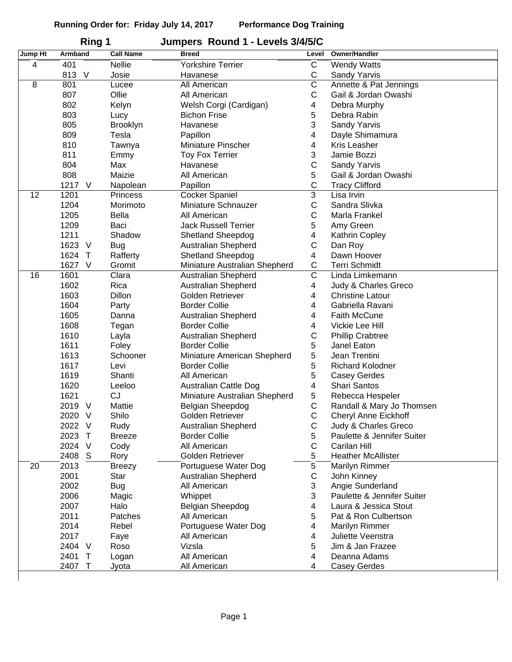|         | Ring 1              |                     | Jumpers Round 1 - Levels 3/4/5/C |                       |                             |
|---------|---------------------|---------------------|----------------------------------|-----------------------|-----------------------------|
| Jump Ht | <b>Armband</b>      | <b>Call Name</b>    | <b>Breed</b>                     | Level                 | Owner/Handler               |
| 4       | 401                 | <b>Nellie</b>       | <b>Yorkshire Terrier</b>         | C                     | <b>Wendy Watts</b>          |
|         | 813<br>$\vee$       | Josie               | Havanese                         | С                     | Sandy Yarvis                |
| 8       | 801                 | Lucee               | All American                     | $\overline{\text{c}}$ | Annette & Pat Jennings      |
|         | 807                 | Ollie               | All American                     | $\mathsf C$           | Gail & Jordan Owashi        |
|         | 802                 | Kelyn               | Welsh Corgi (Cardigan)           | 4                     | Debra Murphy                |
|         | 803                 | Lucy                | <b>Bichon Frise</b>              | 5                     | Debra Rabin                 |
|         | 805                 | <b>Brooklyn</b>     | Havanese                         | 3                     | Sandy Yarvis                |
|         | 809                 | Tesla               | Papillon                         | 4                     | Dayle Shimamura             |
|         | 810                 | Tawnya              | Miniature Pinscher               | 4                     | Kris Leasher                |
|         | 811                 | Emmy                | <b>Toy Fox Terrier</b>           | 3                     | Jamie Bozzi                 |
|         | 804                 | Max                 | Havanese                         | $\mathsf C$           | Sandy Yarvis                |
|         | 808                 | Maizie              | All American                     | 5                     | Gail & Jordan Owashi        |
|         | 1217<br>$\vee$      | Napolean            | Papillon                         | C                     | <b>Tracy Clifford</b>       |
| 12      | 1201                | <b>Princess</b>     | Cocker Spaniel                   | $\overline{3}$        | Lisa Irvin                  |
|         | 1204                | Morimoto            | Miniature Schnauzer              | $\mathsf C$           | Sandra Slivka               |
|         | 1205                | Bella               | All American                     | $\mathsf C$           | Marla Frankel               |
|         | 1209                | Baci                | <b>Jack Russell Terrier</b>      | 5                     | Amy Green                   |
|         | 1211                | Shadow              | Shetland Sheepdog                | 4                     | Kathrin Copley              |
|         | 1623<br>V           | <b>Bug</b>          | <b>Australian Shepherd</b>       | $\mathsf C$           | Dan Roy                     |
|         | 1624<br>$\top$      | Rafferty            | Shetland Sheepdog                | 4                     | Dawn Hoover                 |
|         | 1627<br>$\vee$      | Gromit              | Miniature Australian Shepherd    | С                     | <b>Terri Schmidt</b>        |
| 16      | 1601                | Clara               | Australian Shepherd              | $\overline{\text{c}}$ | Linda Limkemann             |
|         | 1602                | Rica                | Australian Shepherd              | 4                     | Judy & Charles Greco        |
|         | 1603                | Dillon              | Golden Retriever                 | 4                     | <b>Christine Latour</b>     |
|         | 1604                | Party               | <b>Border Collie</b>             | 4                     | Gabriella Ravani            |
|         | 1605                | Danna               | Australian Shepherd              | 4                     | <b>Faith McCune</b>         |
|         | 1608                | Tegan               | <b>Border Collie</b>             | 4                     | Vickie Lee Hill             |
|         | 1610                | Layla               | Australian Shepherd              | $\mathsf C$           | <b>Phillip Crabtree</b>     |
|         | 1611                | Foley               | <b>Border Collie</b>             | 5                     | Janel Eaton                 |
|         | 1613                | Schooner            | Miniature American Shepherd      | 5                     | Jean Trentini               |
|         | 1617                | Levi                | <b>Border Collie</b>             | 5                     | <b>Richard Kolodner</b>     |
|         | 1619                | Shanti              | All American                     | 5                     | <b>Casey Gerdes</b>         |
|         | 1620                |                     |                                  | 4                     | Shari Santos                |
|         | 1621                | Leeloo<br><b>CJ</b> | <b>Australian Cattle Dog</b>     | 5                     |                             |
|         |                     |                     | Miniature Australian Shepherd    | C                     | Rebecca Hespeler            |
|         | 2019<br>$\vee$      | Mattie              | Belgian Sheepdog                 |                       | Randall & Mary Jo Thomsen   |
|         | 2020 V              | Shilo               | Golden Retriever                 | C                     | <b>Cheryl Anne Eickhoff</b> |
|         | 2022<br>$\vee$      | Rudy                | Australian Shepherd              | $\mathsf C$           | Judy & Charles Greco        |
|         | 2023<br>$\top$      | <b>Breeze</b>       | <b>Border Collie</b>             | 5                     | Paulette & Jennifer Suiter  |
|         | 2024 V              | Cody                | All American                     | $\mathsf C$           | Carilan Hill                |
|         | 2408<br>S           | Rory                | Golden Retriever                 | 5                     | <b>Heather McAllister</b>   |
| 20      | 2013                | <b>Breezy</b>       | Portuguese Water Dog             | 5                     | Marilyn Rimmer              |
|         | 2001                | Star                | Australian Shepherd              | C                     | John Kinney                 |
|         | 2002                | <b>Bug</b>          | All American                     | 3                     | Angie Sunderland            |
|         | 2006                | Magic               | Whippet                          | 3                     | Paulette & Jennifer Suiter  |
|         | 2007                | Halo                | Belgian Sheepdog                 | 4                     | Laura & Jessica Stout       |
|         | 2011                | Patches             | All American                     | 5                     | Pat & Ron Culbertson        |
|         | 2014                | Rebel               | Portuguese Water Dog             | 4                     | Marilyn Rimmer              |
|         | 2017                | Faye                | All American                     | 4                     | Juliette Veenstra           |
|         | 2404 V              | Roso                | Vizsla                           | 5                     | Jim & Jan Frazee            |
|         | 2401<br>$\mathsf T$ | Logan               | All American                     | 4                     | Deanna Adams                |
|         | 2407<br>$\top$      | Jyota               | All American                     | 4                     | <b>Casey Gerdes</b>         |
|         |                     |                     |                                  |                       |                             |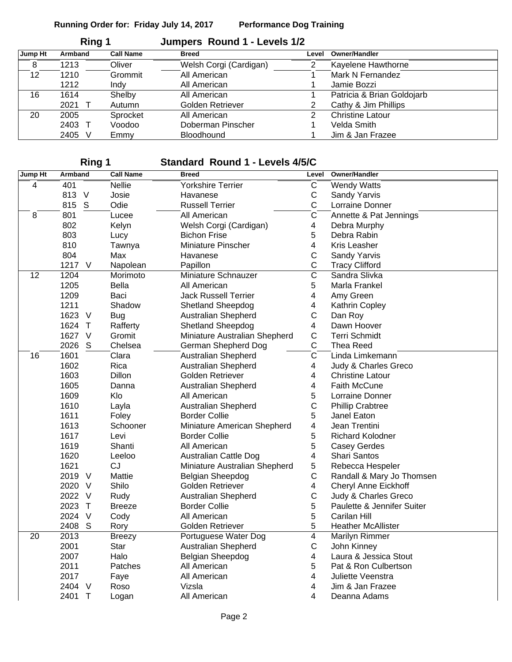|         | Ring 1  |                  | Jumpers Round 1 - Levels 1/2 |       |                            |
|---------|---------|------------------|------------------------------|-------|----------------------------|
| Jump Ht | Armband | <b>Call Name</b> | <b>Breed</b>                 | Level | <b>Owner/Handler</b>       |
| 8       | 1213    | Oliver           | Welsh Corgi (Cardigan)       | 2     | Kayelene Hawthorne         |
| 12      | 1210    | Grommit          | All American                 |       | Mark N Fernandez           |
|         | 1212    | Indy             | All American                 |       | Jamie Bozzi                |
| 16      | 1614    | Shelby           | All American                 |       | Patricia & Brian Goldojarb |
|         | 2021    | Autumn           | Golden Retriever             | 2     | Cathy & Jim Phillips       |
| 20      | 2005    | Sprocket         | All American                 | 2     | <b>Christine Latour</b>    |
|         | 2403    | Voodoo           | Doberman Pinscher            |       | Velda Smith                |
|         | 2405    | Emmy             | <b>Bloodhound</b>            |       | Jim & Jan Frazee           |

### **Ring 1 Standard Round 1 - Levels 4/5/C**

| Jump Ht        | Armband              | <b>Call Name</b> | <b>Breed</b>                  | Level                   | Owner/Handler               |
|----------------|----------------------|------------------|-------------------------------|-------------------------|-----------------------------|
| $\overline{4}$ | 401                  | <b>Nellie</b>    | <b>Yorkshire Terrier</b>      | $\mathsf{C}$            | <b>Wendy Watts</b>          |
|                | 813 V                | Josie            | Havanese                      | $\mathsf{C}$            | Sandy Yarvis                |
|                | 815 S                | Odie             | <b>Russell Terrier</b>        | C                       | Lorraine Donner             |
| 8              | 801                  | Lucee            | All American                  | $\overline{\text{c}}$   | Annette & Pat Jennings      |
|                | 802                  | Kelyn            | Welsh Corgi (Cardigan)        | $\overline{\mathbf{4}}$ | Debra Murphy                |
|                | 803                  | Lucy             | <b>Bichon Frise</b>           | 5                       | Debra Rabin                 |
|                | 810                  | Tawnya           | Miniature Pinscher            | 4                       | Kris Leasher                |
|                | 804                  | Max              | Havanese                      | C                       | Sandy Yarvis                |
|                | 1217<br>$\vee$       | Napolean         | Papillon                      | C                       | <b>Tracy Clifford</b>       |
| 12             | 1204                 | Morimoto         | Miniature Schnauzer           | $\overline{\mathsf{c}}$ | Sandra Slivka               |
|                | 1205                 | Bella            | All American                  | 5                       | Marla Frankel               |
|                | 1209                 | Baci             | Jack Russell Terrier          | $\overline{4}$          | Amy Green                   |
|                | 1211                 | Shadow           | Shetland Sheepdog             | 4                       | Kathrin Copley              |
|                | 1623 V               | <b>Bug</b>       | <b>Australian Shepherd</b>    | C                       | Dan Roy                     |
|                | 1624<br>$\top$       | Rafferty         | <b>Shetland Sheepdog</b>      | $\overline{4}$          | Dawn Hoover                 |
|                | 1627<br>$\vee$       | Gromit           | Miniature Australian Shepherd | $\mathsf C$             | <b>Terri Schmidt</b>        |
|                | 2026<br>S            | Chelsea          | German Shepherd Dog           | C                       | Thea Reed                   |
| 16             | 1601                 | Clara            | Australian Shepherd           | $\overline{\mathsf{c}}$ | Linda Limkemann             |
|                | 1602                 | Rica             | <b>Australian Shepherd</b>    | 4                       | Judy & Charles Greco        |
|                | 1603                 | Dillon           | Golden Retriever              | 4                       | <b>Christine Latour</b>     |
|                | 1605                 | Danna            | Australian Shepherd           | 4                       | <b>Faith McCune</b>         |
|                | 1609                 | Klo              | All American                  | 5                       | Lorraine Donner             |
|                | 1610                 | Layla            | <b>Australian Shepherd</b>    | $\mathsf{C}$            | <b>Phillip Crabtree</b>     |
|                | 1611                 | Foley            | <b>Border Collie</b>          | 5                       | Janel Eaton                 |
|                | 1613                 | Schooner         | Miniature American Shepherd   | $\overline{\mathbf{4}}$ | Jean Trentini               |
|                | 1617                 | Levi             | <b>Border Collie</b>          | 5                       | <b>Richard Kolodner</b>     |
|                | 1619                 | Shanti           | All American                  | 5                       | <b>Casey Gerdes</b>         |
|                | 1620                 | Leeloo           | <b>Australian Cattle Dog</b>  | $\overline{4}$          | Shari Santos                |
|                | 1621                 | <b>CJ</b>        | Miniature Australian Shepherd | $\sqrt{5}$              | Rebecca Hespeler            |
|                | 2019<br>$\vee$       | Mattie           | Belgian Sheepdog              | $\mathsf{C}$            | Randall & Mary Jo Thomsen   |
|                | 2020<br>V            | Shilo            | Golden Retriever              | $\overline{4}$          | <b>Cheryl Anne Eickhoff</b> |
|                | 2022 V               | Rudy             | <b>Australian Shepherd</b>    | $\mathsf C$             | Judy & Charles Greco        |
|                | 2023<br>$\top$       | <b>Breeze</b>    | <b>Border Collie</b>          | 5                       | Paulette & Jennifer Suiter  |
|                | 2024<br>V            | Cody             | All American                  | 5                       | Carilan Hill                |
|                | 2408<br>S            | Rory             | Golden Retriever              | 5                       | <b>Heather McAllister</b>   |
| 20             | 2013                 | <b>Breezy</b>    | Portuguese Water Dog          | $\overline{4}$          | Marilyn Rimmer              |
|                | 2001                 | Star             | Australian Shepherd           | $\mathsf C$             | John Kinney                 |
|                | 2007                 | Halo             | Belgian Sheepdog              | $\overline{\mathbf{4}}$ | Laura & Jessica Stout       |
|                | 2011                 | Patches          | All American                  | 5                       | Pat & Ron Culbertson        |
|                | 2017                 | Faye             | All American                  | 4                       | Juliette Veenstra           |
|                | 2404<br>V            | Roso             | Vizsla                        | 4                       | Jim & Jan Frazee            |
|                | $\mathsf{T}$<br>2401 | Logan            | All American                  | 4                       | Deanna Adams                |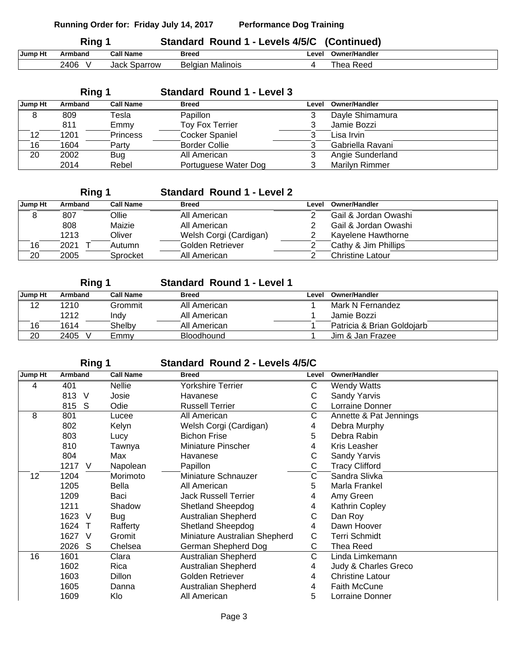|         | Ring 1  |                  |              | Standard Round 1 - Levels 4/5/C (Continued) |               |
|---------|---------|------------------|--------------|---------------------------------------------|---------------|
| Jump Ht | Armband | <b>Call Name</b> | <b>Breed</b> | Level                                       | Owner/Handler |
|         | 2406    | Jack Sparrow     |              | Belgian Malinois                            | Thea Reed     |

|         | Ring 1  |                  | <b>Standard Round 1 - Level 3</b> |       |                       |
|---------|---------|------------------|-----------------------------------|-------|-----------------------|
| Jump Ht | Armband | <b>Call Name</b> | <b>Breed</b>                      | Level | <b>Owner/Handler</b>  |
| 8       | 809     | Tesla            | Papillon                          |       | Dayle Shimamura       |
|         | 811     | Emmy             | <b>Toy Fox Terrier</b>            | 3     | Jamie Bozzi           |
| 12      | 1201    | <b>Princess</b>  | <b>Cocker Spaniel</b>             |       | Lisa Irvin            |
| 16      | 1604    | Party            | <b>Border Collie</b>              |       | Gabriella Ravani      |
| 20      | 2002    | Bug              | All American                      |       | Angie Sunderland      |
|         | 2014    | Rebel            | Portuguese Water Dog              |       | <b>Marilyn Rimmer</b> |

## **Ring 1 Standard Round 1 - Level 2**

| Jump Ht | Armband | <b>Call Name</b> | <b>Breed</b>           | Level | <b>Owner/Handler</b>    |
|---------|---------|------------------|------------------------|-------|-------------------------|
| 8       | 807     | <b>Ollie</b>     | All American           |       | Gail & Jordan Owashi    |
|         | 808     | Maizie           | All American           |       | Gail & Jordan Owashi    |
|         | 1213    | Oliver           | Welsh Corgi (Cardigan) |       | Kayelene Hawthorne      |
| 16      | 2021    | Autumn           | Golden Retriever       |       | Cathy & Jim Phillips    |
| 20      | 2005    | Sprocket         | All American           |       | <b>Christine Latour</b> |

| Ring 1  |           |                  | <b>Standard Round 1 - Level 1</b> |       |                            |
|---------|-----------|------------------|-----------------------------------|-------|----------------------------|
| Jump Ht | Armband   | <b>Call Name</b> | <b>Breed</b>                      | Level | Owner/Handler              |
| 12      | 1210      | Grommit          | All American                      |       | Mark N Fernandez           |
|         | 1212      | Indv             | All American                      |       | Jamie Bozzi                |
| 16      | 1614      | Shelby           | All American                      |       | Patricia & Brian Goldojarb |
| 20      | 2405<br>v | Emmy             | <b>Bloodhound</b>                 |       | Jim & Jan Frazee           |

## **Ring 1 Standard Round 2 - Levels 4/5/C**

| Jump Ht | Armband              | <b>Call Name</b> | <b>Breed</b>                  | Level | <b>Owner/Handler</b>    |
|---------|----------------------|------------------|-------------------------------|-------|-------------------------|
| 4       | 401                  | <b>Nellie</b>    | <b>Yorkshire Terrier</b>      | С     | <b>Wendy Watts</b>      |
|         | 813 V                | Josie            | Havanese                      | C     | Sandy Yarvis            |
|         | 815 S                | Odie             | <b>Russell Terrier</b>        | C     | Lorraine Donner         |
| 8       | 801                  | Lucee            | All American                  | С     | Annette & Pat Jennings  |
|         | 802                  | Kelyn            | Welsh Corgi (Cardigan)        | 4     | Debra Murphy            |
|         | 803                  | Lucy             | <b>Bichon Frise</b>           | 5     | Debra Rabin             |
|         | 810                  | Tawnya           | <b>Miniature Pinscher</b>     | 4     | <b>Kris Leasher</b>     |
|         | 804                  | Max              | Havanese                      | С     | Sandy Yarvis            |
|         | 1217<br>$\vee$       | Napolean         | Papillon                      | С     | <b>Tracy Clifford</b>   |
| 12      | 1204                 | Morimoto         | Miniature Schnauzer           | С     | Sandra Slivka           |
|         | 1205                 | Bella            | All American                  | 5     | Marla Frankel           |
|         | 1209                 | Baci             | <b>Jack Russell Terrier</b>   | 4     | Amy Green               |
|         | 1211                 | Shadow           | <b>Shetland Sheepdog</b>      | 4     | Kathrin Copley          |
|         | 1623 V               | Bug              | Australian Shepherd           | С     | Dan Roy                 |
|         | 1624<br>$\top$       | Rafferty         | Shetland Sheepdog             | 4     | Dawn Hoover             |
|         | 1627<br>V            | Gromit           | Miniature Australian Shepherd | C     | <b>Terri Schmidt</b>    |
|         | 2026<br><sub>S</sub> | Chelsea          | German Shepherd Dog           | С     | Thea Reed               |
| 16      | 1601                 | Clara            | Australian Shepherd           | С     | Linda Limkemann         |
|         | 1602                 | Rica             | Australian Shepherd           | 4     | Judy & Charles Greco    |
|         | 1603                 | Dillon           | Golden Retriever              | 4     | <b>Christine Latour</b> |
|         | 1605                 | Danna            | <b>Australian Shepherd</b>    | 4     | <b>Faith McCune</b>     |
|         | 1609                 | Klo              | All American                  | 5     | Lorraine Donner         |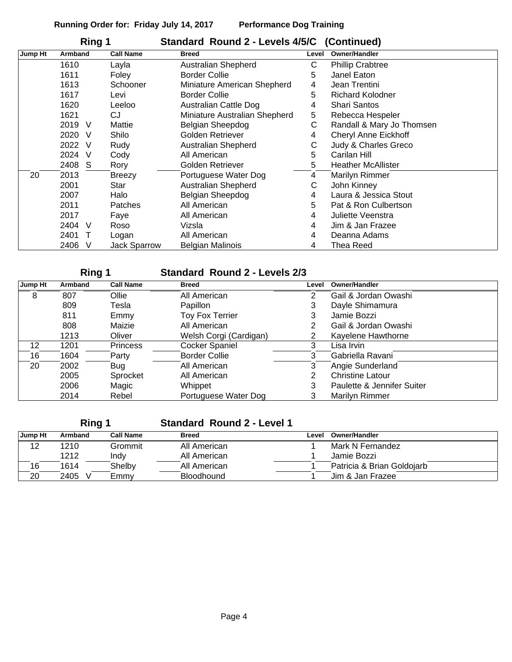|         | Ring 1  |              |                     | Standard Round 2 - Levels 4/5/C (Continued) |       |                           |
|---------|---------|--------------|---------------------|---------------------------------------------|-------|---------------------------|
| Jump Ht | Armband |              | <b>Call Name</b>    | <b>Breed</b>                                | Level | <b>Owner/Handler</b>      |
|         | 1610    |              | Layla               | Australian Shepherd                         | С     | <b>Phillip Crabtree</b>   |
|         | 1611    |              | Foley               | <b>Border Collie</b>                        | 5     | Janel Eaton               |
|         | 1613    |              | Schooner            | Miniature American Shepherd                 | 4     | Jean Trentini             |
|         | 1617    |              | Levi                | <b>Border Collie</b>                        | 5     | <b>Richard Kolodner</b>   |
|         | 1620    |              | Leeloo              | <b>Australian Cattle Dog</b>                | 4     | <b>Shari Santos</b>       |
|         | 1621    |              | CJ                  | Miniature Australian Shepherd               | 5     | Rebecca Hespeler          |
|         | 2019    | V            | Mattie              | Belgian Sheepdog                            | C     | Randall & Mary Jo Thomsen |
|         | 2020    | <sub>V</sub> | Shilo               | Golden Retriever                            | 4     | Cheryl Anne Eickhoff      |
|         | 2022    | V            | Rudy                | Australian Shepherd                         | С     | Judy & Charles Greco      |
|         | 2024    | V            | Cody                | All American                                | 5     | Carilan Hill              |
|         | 2408    | <sub>S</sub> | Rory                | Golden Retriever                            | 5.    | <b>Heather McAllister</b> |
| 20      | 2013    |              | <b>Breezy</b>       | Portuguese Water Dog                        | 4     | Marilyn Rimmer            |
|         | 2001    |              | Star                | Australian Shepherd                         | С     | John Kinney               |
|         | 2007    |              | Halo                | Belgian Sheepdog                            | 4     | Laura & Jessica Stout     |
|         | 2011    |              | <b>Patches</b>      | All American                                | 5     | Pat & Ron Culbertson      |
|         | 2017    |              | Faye                | All American                                | 4     | Juliette Veenstra         |
|         | 2404    | -V           | Roso                | Vizsla                                      | 4     | Jim & Jan Frazee          |
|         | 2401    |              | Logan               | All American                                | 4     | Deanna Adams              |
|         | 2406    | V            | <b>Jack Sparrow</b> | <b>Belgian Malinois</b>                     | 4     | Thea Reed                 |

| Ring 1  |         |                  | <b>Standard Round 2 - Levels 2/3</b> |       |                            |
|---------|---------|------------------|--------------------------------------|-------|----------------------------|
| Jump Ht | Armband | <b>Call Name</b> | <b>Breed</b>                         | Level | <b>Owner/Handler</b>       |
| 8       | 807     | Ollie            | All American                         | 2     | Gail & Jordan Owashi       |
|         | 809     | Tesla            | Papillon                             | 3     | Dayle Shimamura            |
|         | 811     | Emmy             | <b>Toy Fox Terrier</b>               | 3     | Jamie Bozzi                |
|         | 808     | Maizie           | All American                         | 2     | Gail & Jordan Owashi       |
|         | 1213    | Oliver           | Welsh Corgi (Cardigan)               | 2     | Kayelene Hawthorne         |
| 12      | 1201    | Princess         | <b>Cocker Spaniel</b>                | 3     | Lisa Irvin                 |
| 16      | 1604    | Party            | <b>Border Collie</b>                 | 3     | Gabriella Ravani           |
| 20      | 2002    | Bug              | All American                         | 3     | Angie Sunderland           |
|         | 2005    | Sprocket         | All American                         | 2     | <b>Christine Latour</b>    |
|         | 2006    | Magic            | Whippet                              | 3     | Paulette & Jennifer Suiter |
|         | 2014    | Rebel            | Portuguese Water Dog                 | 3     | Marilyn Rimmer             |

**Ring 1 Standard Round 2 - Level 1**

| Jump Ht | Armband | <b>Call Name</b> | <b>Breed</b>      | Level | Owner/Handler              |
|---------|---------|------------------|-------------------|-------|----------------------------|
| 12      | 1210    | Grommit          | All American      |       | Mark N Fernandez           |
|         | 1212    | Indv             | All American      |       | Jamie Bozzi                |
| 16      | 1614    | Shelbv           | All American      |       | Patricia & Brian Goldoiarb |
| 20      | 2405    | Emmy             | <b>Bloodhound</b> |       | Jim & Jan Frazee           |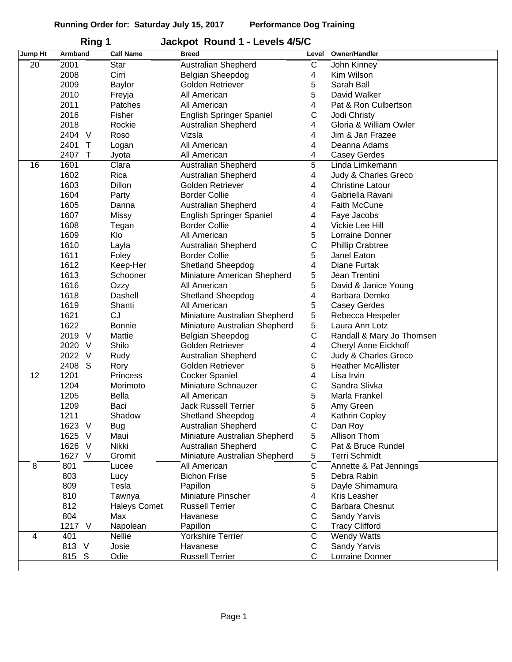| Jump Ht | ו שוויו<br>Armband | <b>Call Name</b>    | <b>Jachpol Induity I - Levels FUJO</b><br><b>Breed</b> | Level                 | Owner/Handler             |
|---------|--------------------|---------------------|--------------------------------------------------------|-----------------------|---------------------------|
| 20      | 2001               | Star                | Australian Shepherd                                    | C                     | John Kinney               |
|         | 2008               | Cirri               | Belgian Sheepdog                                       | 4                     | Kim Wilson                |
|         | 2009               |                     | Golden Retriever                                       | 5                     | Sarah Ball                |
|         | 2010               | Baylor              | All American                                           | 5                     | David Walker              |
|         |                    | Freyja              |                                                        |                       |                           |
|         | 2011               | Patches             | All American                                           | 4                     | Pat & Ron Culbertson      |
|         | 2016               | Fisher              | English Springer Spaniel                               | С                     | Jodi Christy              |
|         | 2018               | Rockie              | Australian Shepherd                                    | 4                     | Gloria & William Owler    |
|         | 2404 V             | Roso                | Vizsla                                                 | 4                     | Jim & Jan Frazee          |
|         | 2401<br>$\top$     | Logan               | All American                                           | 4                     | Deanna Adams              |
|         | 2407<br>$\top$     | Jyota               | All American                                           | 4                     | <b>Casey Gerdes</b>       |
| 16      | 1601               | Clara               | Australian Shepherd                                    | 5                     | Linda Limkemann           |
|         | 1602               | Rica                | Australian Shepherd                                    | 4                     | Judy & Charles Greco      |
|         | 1603               | <b>Dillon</b>       | Golden Retriever                                       | 4                     | <b>Christine Latour</b>   |
|         | 1604               | Party               | <b>Border Collie</b>                                   | 4                     | Gabriella Ravani          |
|         | 1605               | Danna               | Australian Shepherd                                    | 4                     | <b>Faith McCune</b>       |
|         | 1607               | Missy               | English Springer Spaniel                               | 4                     | Faye Jacobs               |
|         | 1608               | Tegan               | <b>Border Collie</b>                                   | 4                     | Vickie Lee Hill           |
|         | 1609               | Klo                 | All American                                           | 5                     | Lorraine Donner           |
|         | 1610               | Layla               | Australian Shepherd                                    | $\mathsf C$           | <b>Phillip Crabtree</b>   |
|         | 1611               | Foley               | <b>Border Collie</b>                                   | 5                     | Janel Eaton               |
|         | 1612               | Keep-Her            | Shetland Sheepdog                                      | 4                     | Diane Furtak              |
|         | 1613               | Schooner            | Miniature American Shepherd                            | 5                     | Jean Trentini             |
|         | 1616               | Ozzy                | All American                                           | 5                     | David & Janice Young      |
|         | 1618               | Dashell             | <b>Shetland Sheepdog</b>                               | 4                     | Barbara Demko             |
|         | 1619               | Shanti              | All American                                           | 5                     | <b>Casey Gerdes</b>       |
|         | 1621               | <b>CJ</b>           | Miniature Australian Shepherd                          | 5                     | Rebecca Hespeler          |
|         | 1622               | <b>Bonnie</b>       | Miniature Australian Shepherd                          | 5                     | Laura Ann Lotz            |
|         | 2019 V             | Mattie              | Belgian Sheepdog                                       | С                     | Randall & Mary Jo Thomsen |
|         | 2020 V             | Shilo               | Golden Retriever                                       | 4                     | Cheryl Anne Eickhoff      |
|         | 2022 V             | Rudy                | <b>Australian Shepherd</b>                             | $\mathsf C$           | Judy & Charles Greco      |
|         | 2408<br>S          | Rory                | Golden Retriever                                       | 5                     | <b>Heather McAllister</b> |
| 12      | 1201               | Princess            | <b>Cocker Spaniel</b>                                  | $\overline{4}$        | Lisa Irvin                |
|         | 1204               | Morimoto            | Miniature Schnauzer                                    | C                     | Sandra Slivka             |
|         | 1205               | Bella               | All American                                           | 5                     | Marla Frankel             |
|         | 1209               | Baci                | Jack Russell Terrier                                   | 5                     | Amy Green                 |
|         | 1211               | Shadow              | <b>Shetland Sheepdog</b>                               | 4                     | Kathrin Copley            |
|         | 1623 V             | <b>Bug</b>          | Australian Shepherd                                    | С                     | Dan Roy                   |
|         | 1625<br>$\vee$     | Maui                | Miniature Australian Shepherd                          | 5                     | Allison Thom              |
|         | 1626<br>$\vee$     | Nikki               | Australian Shepherd                                    | С                     | Pat & Bruce Rundel        |
|         | 1627 V             | Gromit              | Miniature Australian Shepherd                          | 5                     | <b>Terri Schmidt</b>      |
| 8       | 801                | Lucee               | All American                                           | $\overline{\text{c}}$ | Annette & Pat Jennings    |
|         | 803                | Lucy                | <b>Bichon Frise</b>                                    | 5                     | Debra Rabin               |
|         | 809                | Tesla               | Papillon                                               | 5                     | Dayle Shimamura           |
|         | 810                |                     | Miniature Pinscher                                     | 4                     | Kris Leasher              |
|         | 812                | Tawnya              | <b>Russell Terrier</b>                                 | С                     | <b>Barbara Chesnut</b>    |
|         |                    | <b>Haleys Comet</b> |                                                        |                       |                           |
|         | 804                | Max                 | Havanese                                               | С                     | Sandy Yarvis              |
|         | 1217 V             | Napolean            | Papillon                                               | С                     | <b>Tracy Clifford</b>     |
| 4       | 401                | <b>Nellie</b>       | Yorkshire Terrier                                      | С                     | <b>Wendy Watts</b>        |
|         | 813 V              | Josie               | Havanese                                               | С                     | Sandy Yarvis              |
|         | 815 S              | Odie                | <b>Russell Terrier</b>                                 | C                     | Lorraine Donner           |
|         |                    |                     |                                                        |                       |                           |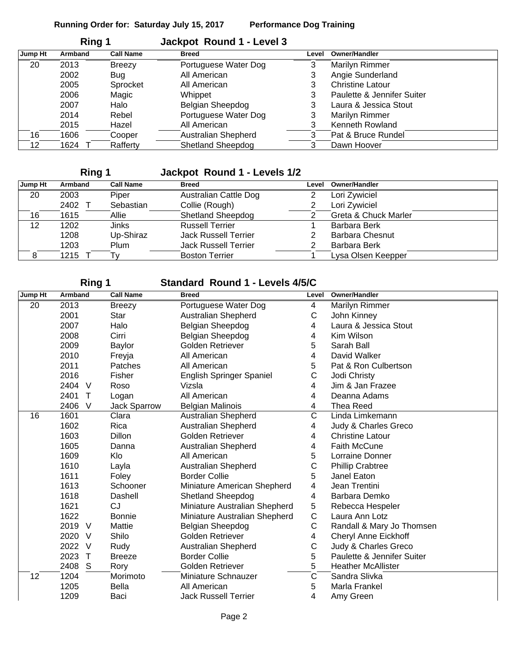|         | Ring 1  |                  | Jackpot Round 1 - Level 3 |       |                            |
|---------|---------|------------------|---------------------------|-------|----------------------------|
| Jump Ht | Armband | <b>Call Name</b> | <b>Breed</b>              | Level | <b>Owner/Handler</b>       |
| 20      | 2013    | <b>Breezy</b>    | Portuguese Water Dog      | 3     | Marilyn Rimmer             |
|         | 2002    | <b>Bug</b>       | All American              | 3     | Angie Sunderland           |
|         | 2005    | Sprocket         | All American              | 3     | <b>Christine Latour</b>    |
|         | 2006    | Magic            | Whippet                   | 3     | Paulette & Jennifer Suiter |
|         | 2007    | Halo             | Belgian Sheepdog          | 3     | Laura & Jessica Stout      |
|         | 2014    | Rebel            | Portuguese Water Dog      | 3     | Marilyn Rimmer             |
|         | 2015    | Hazel            | All American              | 3     | Kenneth Rowland            |
| 16      | 1606    | Cooper           | Australian Shepherd       | 3     | Pat & Bruce Rundel         |
| 12      | 1624    | Rafferty         | <b>Shetland Sheepdog</b>  | 3     | Dawn Hoover                |

## **Ring 1 Jackpot Round 1 - Levels 1/2**

| Jump Ht | Armband | <b>Call Name</b> | <b>Breed</b>                | Level | <b>Owner/Handler</b>   |
|---------|---------|------------------|-----------------------------|-------|------------------------|
| 20      | 2003    | Piper            | Australian Cattle Dog       |       | Lori Zywiciel          |
|         | 2402    | Sebastian        | Collie (Rough)              | 2     | Lori Zywiciel          |
| 16      | 1615    | Allie            | <b>Shetland Sheepdog</b>    |       | Greta & Chuck Marler   |
| 12      | 1202    | Jinks            | <b>Russell Terrier</b>      |       | Barbara Berk           |
|         | 1208    | Up-Shiraz        | Jack Russell Terrier        | 2     | <b>Barbara Chesnut</b> |
|         | 1203    | Plum             | <b>Jack Russell Terrier</b> | 2     | <b>Barbara Berk</b>    |
|         | 1215    | I٧               | <b>Boston Terrier</b>       |       | Lysa Olsen Keepper     |
|         |         |                  |                             |       |                        |

### **Ring 1 Standard Round 1 - Levels 4/5/C**

| Jump Ht | Armband              | <b>Call Name</b>    | <b>Breed</b>                  | Level | Owner/Handler               |
|---------|----------------------|---------------------|-------------------------------|-------|-----------------------------|
| 20      | 2013                 | <b>Breezy</b>       | Portuguese Water Dog          | 4     | Marilyn Rimmer              |
|         | 2001                 | Star                | <b>Australian Shepherd</b>    | С     | John Kinney                 |
|         | 2007                 | Halo                | Belgian Sheepdog              | 4     | Laura & Jessica Stout       |
|         | 2008                 | Cirri               | Belgian Sheepdog              | 4     | Kim Wilson                  |
|         | 2009                 | Baylor              | Golden Retriever              | 5     | Sarah Ball                  |
|         | 2010                 | Freyja              | All American                  | 4     | David Walker                |
|         | 2011                 | Patches             | All American                  | 5     | Pat & Ron Culbertson        |
|         | 2016                 | Fisher              | English Springer Spaniel      | С     | Jodi Christy                |
|         | 2404 V               | Roso                | Vizsla                        | 4     | Jim & Jan Frazee            |
|         | 2401<br>$\mathsf{T}$ | Logan               | All American                  | 4     | Deanna Adams                |
|         | 2406<br>V            | <b>Jack Sparrow</b> | <b>Belgian Malinois</b>       | 4     | <b>Thea Reed</b>            |
| 16      | 1601                 | Clara               | Australian Shepherd           | C     | Linda Limkemann             |
|         | 1602                 | Rica                | <b>Australian Shepherd</b>    | 4     | Judy & Charles Greco        |
|         | 1603                 | Dillon              | <b>Golden Retriever</b>       | 4     | <b>Christine Latour</b>     |
|         | 1605                 | Danna               | <b>Australian Shepherd</b>    | 4     | <b>Faith McCune</b>         |
|         | 1609                 | Klo                 | All American                  | 5     | <b>Lorraine Donner</b>      |
|         | 1610                 | Layla               | Australian Shepherd           | С     | <b>Phillip Crabtree</b>     |
|         | 1611                 | Foley               | <b>Border Collie</b>          | 5     | Janel Eaton                 |
|         | 1613                 | Schooner            | Miniature American Shepherd   | 4     | Jean Trentini               |
|         | 1618                 | Dashell             | <b>Shetland Sheepdog</b>      | 4     | Barbara Demko               |
|         | 1621                 | <b>CJ</b>           | Miniature Australian Shepherd | 5     | Rebecca Hespeler            |
|         | 1622                 | <b>Bonnie</b>       | Miniature Australian Shepherd | C     | Laura Ann Lotz              |
|         | 2019 V               | Mattie              | Belgian Sheepdog              | С     | Randall & Mary Jo Thomsen   |
|         | 2020<br>V            | Shilo               | Golden Retriever              | 4     | <b>Cheryl Anne Eickhoff</b> |
|         | 2022<br>V            | Rudy                | Australian Shepherd           | С     | Judy & Charles Greco        |
|         | 2023<br>$\top$       | <b>Breeze</b>       | <b>Border Collie</b>          | 5     | Paulette & Jennifer Suiter  |
|         | 2408<br>S            | Rory                | Golden Retriever              | 5     | <b>Heather McAllister</b>   |
| 12      | 1204                 | Morimoto            | Miniature Schnauzer           | C     | Sandra Slivka               |
|         | 1205                 | <b>Bella</b>        | All American                  | 5     | Marla Frankel               |
|         | 1209                 | Baci                | <b>Jack Russell Terrier</b>   | 4     | Amy Green                   |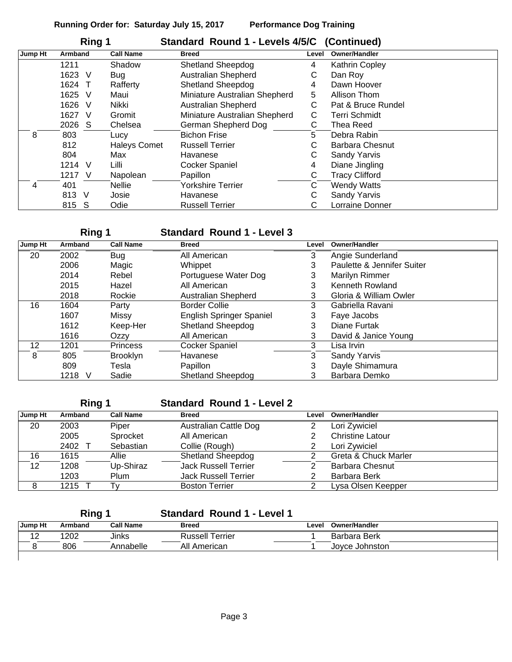|         | Ring 1         |                     | Standard Round 1 - Levels 4/5/C (Continued) |       |                        |
|---------|----------------|---------------------|---------------------------------------------|-------|------------------------|
| Jump Ht | Armband        | <b>Call Name</b>    | <b>Breed</b>                                | Level | <b>Owner/Handler</b>   |
|         | 1211           | Shadow              | <b>Shetland Sheepdog</b>                    | 4     | Kathrin Copley         |
|         | 1623<br>V      | Bug                 | <b>Australian Shepherd</b>                  | С     | Dan Roy                |
|         | 1624<br>$\top$ | Rafferty            | <b>Shetland Sheepdog</b>                    | 4     | Dawn Hoover            |
|         | 1625<br>V      | Maui                | Miniature Australian Shepherd               | 5     | Allison Thom           |
|         | 1626<br>V      | Nikki               | <b>Australian Shepherd</b>                  | С     | Pat & Bruce Rundel     |
|         | 1627<br>V      | Gromit              | Miniature Australian Shepherd               | С     | <b>Terri Schmidt</b>   |
|         | 2026<br>-S     | Chelsea             | German Shepherd Dog                         | С     | Thea Reed              |
| 8       | 803            | Lucy                | <b>Bichon Frise</b>                         | 5.    | Debra Rabin            |
|         | 812            | <b>Haleys Comet</b> | <b>Russell Terrier</b>                      | С     | <b>Barbara Chesnut</b> |
|         | 804            | Max                 | Havanese                                    | С     | <b>Sandy Yarvis</b>    |
|         | 1214<br>V      | Lilli               | <b>Cocker Spaniel</b>                       | 4     | Diane Jingling         |
|         | 1217<br>-V     | Napolean            | Papillon                                    | С     | <b>Tracy Clifford</b>  |
| 4       | 401            | <b>Nellie</b>       | <b>Yorkshire Terrier</b>                    | С     | <b>Wendy Watts</b>     |
|         | 813 V          | Josie               | Havanese                                    | С     | Sandy Yarvis           |
|         | 815 S          | Odie                | <b>Russell Terrier</b>                      | С     | Lorraine Donner        |

## **Ring 1 Standard Round 1 - Level 3**

| Jump Ht | <b>Armband</b> | <b>Call Name</b> | <b>Breed</b>             | Level | <b>Owner/Handler</b>       |
|---------|----------------|------------------|--------------------------|-------|----------------------------|
| 20      | 2002           | Bug              | All American             | 3     | Angie Sunderland           |
|         | 2006           | Magic            | Whippet                  | 3     | Paulette & Jennifer Suiter |
|         | 2014           | Rebel            | Portuguese Water Dog     | 3     | Marilyn Rimmer             |
|         | 2015           | Hazel            | All American             | 3     | Kenneth Rowland            |
|         | 2018           | Rockie           | Australian Shepherd      | 3     | Gloria & William Owler     |
| 16      | 1604           | Party            | <b>Border Collie</b>     | 3     | Gabriella Ravani           |
|         | 1607           | Missy            | English Springer Spaniel | 3     | Faye Jacobs                |
|         | 1612           | Keep-Her         | <b>Shetland Sheepdog</b> | 3     | Diane Furtak               |
|         | 1616           | Ozzy             | All American             | 3     | David & Janice Young       |
| 12      | 1201           | Princess         | <b>Cocker Spaniel</b>    | 3     | Lisa Irvin                 |
| 8       | 805            | <b>Brooklyn</b>  | Havanese                 | 3     | <b>Sandy Yarvis</b>        |
|         | 809            | Tesla            | Papillon                 | 3     | Dayle Shimamura            |
|         | 1218<br>V      | Sadie            | <b>Shetland Sheepdog</b> | 3     | Barbara Demko              |

### **Ring 1 Standard Round 1 - Level 2**

| Jump Ht | Armband | <b>Call Name</b> | <b>Breed</b>                | ∟evel | <b>Owner/Handler</b>    |
|---------|---------|------------------|-----------------------------|-------|-------------------------|
| 20      | 2003    | Piper            | Australian Cattle Dog       |       | Lori Zywiciel           |
|         | 2005    | Sprocket         | All American                |       | <b>Christine Latour</b> |
|         | 2402    | Sebastian        | Collie (Rough)              |       | Lori Zywiciel           |
| 16      | 1615    | Allie            | <b>Shetland Sheepdog</b>    |       | Greta & Chuck Marler    |
| 12      | 1208    | Up-Shiraz        | <b>Jack Russell Terrier</b> |       | <b>Barbara Chesnut</b>  |
|         | 1203    | Plum             | <b>Jack Russell Terrier</b> |       | Barbara Berk            |
| 8       | 1215    |                  | <b>Boston Terrier</b>       |       | Lysa Olsen Keepper      |

# **Ring 1 Standard Round 1 - Level 1**

| Jump Ht           | Armband | <b>Call Name</b> | <b>Breed</b>           | Level | Owner/Handler  |
|-------------------|---------|------------------|------------------------|-------|----------------|
| $\sqrt{2}$<br>ے ا | 1202    | Jinks            | <b>Russell Terrier</b> |       | Barbara Berk   |
|                   | 806     | Annabelle        | All American           |       | Jovce Johnston |
|                   |         |                  |                        |       |                |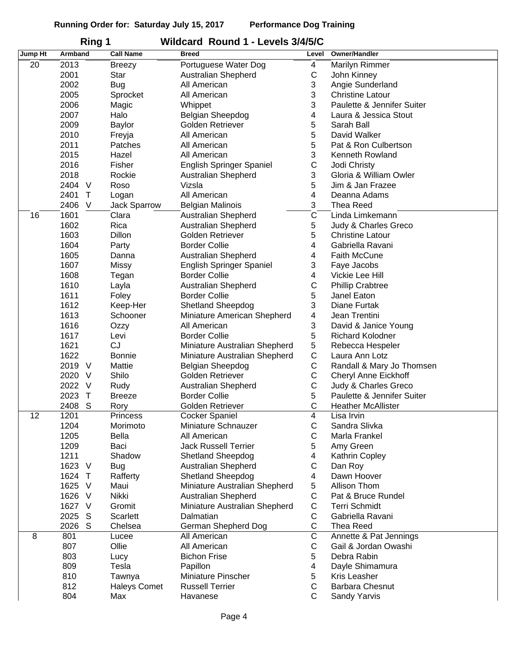| Jump Ht | פיייי<br>Armband     | <b>Call Name</b>    | <b>Breed</b>                  | Level                 | Owner/Handler               |
|---------|----------------------|---------------------|-------------------------------|-----------------------|-----------------------------|
| 20      | 2013                 | <b>Breezy</b>       | Portuguese Water Dog          | 4                     | Marilyn Rimmer              |
|         | 2001                 | Star                | <b>Australian Shepherd</b>    | $\mathsf C$           | John Kinney                 |
|         | 2002                 | <b>Bug</b>          | All American                  | 3                     | Angie Sunderland            |
|         |                      |                     |                               | 3                     |                             |
|         | 2005                 | Sprocket            | All American                  |                       | <b>Christine Latour</b>     |
|         | 2006                 | Magic               | Whippet                       | 3                     | Paulette & Jennifer Suiter  |
|         | 2007                 | Halo                | <b>Belgian Sheepdog</b>       | 4                     | Laura & Jessica Stout       |
|         | 2009                 | Baylor              | Golden Retriever              | 5                     | Sarah Ball                  |
|         | 2010                 | Freyja              | All American                  | 5                     | David Walker                |
|         | 2011                 | Patches             | All American                  | 5                     | Pat & Ron Culbertson        |
|         | 2015                 | Hazel               | All American                  | 3                     | Kenneth Rowland             |
|         | 2016                 | Fisher              | English Springer Spaniel      | $\mathsf C$           | Jodi Christy                |
|         | 2018                 | Rockie              | Australian Shepherd           | 3                     | Gloria & William Owler      |
|         | 2404<br>$\vee$       | Roso                | Vizsla                        | 5                     | Jim & Jan Frazee            |
|         | 2401<br>$\top$       | Logan               | All American                  | 4                     | Deanna Adams                |
|         | 2406<br>V            | Jack Sparrow        | <b>Belgian Malinois</b>       | 3                     | <b>Thea Reed</b>            |
| 16      | 1601                 | Clara               | Australian Shepherd           | $\overline{\text{c}}$ | Linda Limkemann             |
|         | 1602                 | Rica                | <b>Australian Shepherd</b>    | 5                     | Judy & Charles Greco        |
|         | 1603                 | Dillon              | Golden Retriever              | 5                     | <b>Christine Latour</b>     |
|         | 1604                 | Party               | <b>Border Collie</b>          | 4                     | Gabriella Ravani            |
|         | 1605                 | Danna               | <b>Australian Shepherd</b>    | 4                     | <b>Faith McCune</b>         |
|         | 1607                 | Missy               | English Springer Spaniel      | 3                     | Faye Jacobs                 |
|         | 1608                 | Tegan               | <b>Border Collie</b>          | 4                     | Vickie Lee Hill             |
|         | 1610                 | Layla               | <b>Australian Shepherd</b>    | $\mathsf C$           | <b>Phillip Crabtree</b>     |
|         | 1611                 | Foley               | <b>Border Collie</b>          | 5                     | Janel Eaton                 |
|         |                      |                     |                               |                       |                             |
|         | 1612                 | Keep-Her            | Shetland Sheepdog             | 3                     | Diane Furtak                |
|         | 1613                 | Schooner            | Miniature American Shepherd   | 4                     | Jean Trentini               |
|         | 1616                 | Ozzy                | All American                  | 3                     | David & Janice Young        |
|         | 1617                 | Levi                | <b>Border Collie</b>          | 5                     | <b>Richard Kolodner</b>     |
|         | 1621                 | CJ                  | Miniature Australian Shepherd | $5\,$                 | Rebecca Hespeler            |
|         | 1622                 | <b>Bonnie</b>       | Miniature Australian Shepherd | $\mathsf C$           | Laura Ann Lotz              |
|         | 2019<br>V            | Mattie              | <b>Belgian Sheepdog</b>       | С                     | Randall & Mary Jo Thomsen   |
|         | 2020<br>V            | Shilo               | Golden Retriever              | $\mathsf C$           | <b>Cheryl Anne Eickhoff</b> |
|         | 2022<br>$\vee$       | Rudy                | Australian Shepherd           | $\mathsf C$           | Judy & Charles Greco        |
|         | 2023<br>$\mathsf{T}$ | <b>Breeze</b>       | <b>Border Collie</b>          | 5                     | Paulette & Jennifer Suiter  |
|         | 2408<br>S            | Rory                | Golden Retriever              | C                     | <b>Heather McAllister</b>   |
| 12      | 1201                 | <b>Princess</b>     | <b>Cocker Spaniel</b>         | $\overline{4}$        | Lisa Irvin                  |
|         | 1204                 | Morimoto            | Miniature Schnauzer           | C                     | Sandra Slivka               |
|         | 1205                 | <b>Bella</b>        | All American                  | С                     | Marla Frankel               |
|         | 1209                 | Baci                | <b>Jack Russell Terrier</b>   | 5                     | Amy Green                   |
|         | 1211                 | Shadow              | <b>Shetland Sheepdog</b>      | 4                     | Kathrin Copley              |
|         | 1623<br>$\vee$       | <b>Bug</b>          | Australian Shepherd           | С                     | Dan Roy                     |
|         | 1624<br>$\top$       | Rafferty            | Shetland Sheepdog             | 4                     | Dawn Hoover                 |
|         | 1625<br>$\vee$       | Maui                | Miniature Australian Shepherd | 5                     | Allison Thom                |
|         | 1626<br>$\vee$       | Nikki               | Australian Shepherd           | $\mathsf C$           | Pat & Bruce Rundel          |
|         | 1627<br>$\vee$       | Gromit              | Miniature Australian Shepherd | $\mathsf C$           | <b>Terri Schmidt</b>        |
|         | 2025<br>S            | Scarlett            | Dalmatian                     | $\mathsf C$           | Gabriella Ravani            |
|         | S<br>2026            | Chelsea             | German Shepherd Dog           | $\mathsf C$           | <b>Thea Reed</b>            |
| 8       | 801                  |                     |                               | $\overline{\text{C}}$ |                             |
|         |                      | Lucee               | All American                  |                       | Annette & Pat Jennings      |
|         | 807                  | Ollie               | All American                  | C                     | Gail & Jordan Owashi        |
|         | 803                  | Lucy                | <b>Bichon Frise</b>           | 5                     | Debra Rabin                 |
|         | 809                  | Tesla               | Papillon                      | 4                     | Dayle Shimamura             |
|         | 810                  | Tawnya              | Miniature Pinscher            | 5                     | Kris Leasher                |
|         | 812                  | <b>Haleys Comet</b> | <b>Russell Terrier</b>        | $\mathsf C$           | <b>Barbara Chesnut</b>      |
|         | 804                  | Max                 | Havanese                      | C                     | Sandy Yarvis                |

### **Ring 1 Wildcard Round 1 - Levels 3/4/5/C**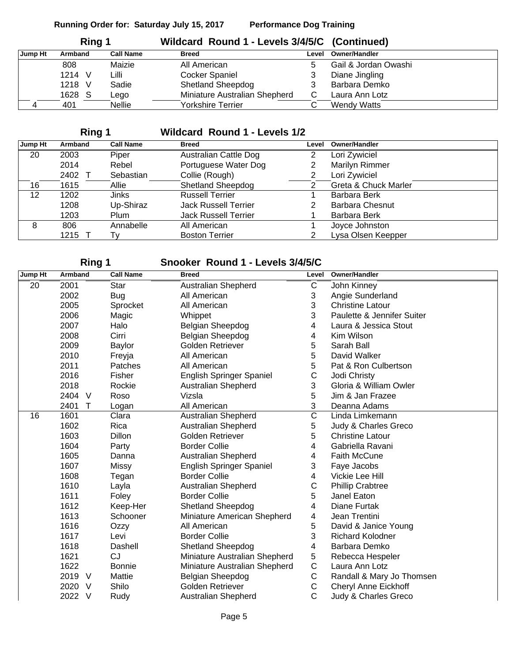| Ring 1  |         |                  | Wildcard Round 1 - Levels 3/4/5/C (Continued) |       |                      |
|---------|---------|------------------|-----------------------------------------------|-------|----------------------|
| Jump Ht | Armband | <b>Call Name</b> | <b>Breed</b>                                  | Level | <b>Owner/Handler</b> |
|         | 808     | Maizie           | All American                                  |       | Gail & Jordan Owashi |
|         | 1214 V  | Lilli            | <b>Cocker Spaniel</b>                         |       | Diane Jingling       |
|         | 1218 V  | Sadie            | <b>Shetland Sheepdog</b>                      |       | Barbara Demko        |
|         | 1628 S  | ∟ego             | Miniature Australian Shepherd                 |       | Laura Ann Lotz       |
|         | 401     | <b>Nellie</b>    | Yorkshire Terrier                             |       | <b>Wendy Watts</b>   |

# **Ring 1 Wildcard Round 1 - Levels 1/2**

| Jump Ht | Armband | <b>Call Name</b> | <b>Breed</b>                 | Level | <b>Owner/Handler</b>   |
|---------|---------|------------------|------------------------------|-------|------------------------|
| 20      | 2003    | Piper            | <b>Australian Cattle Dog</b> | 2     | Lori Zywiciel          |
|         | 2014    | Rebel            | Portuguese Water Dog         |       | <b>Marilyn Rimmer</b>  |
|         | 2402    | Sebastian        | Collie (Rough)               | 2     | Lori Zywiciel          |
| 16      | 1615    | Allie            | <b>Shetland Sheepdog</b>     | 2     | Greta & Chuck Marler   |
| 12      | 1202    | Jinks            | <b>Russell Terrier</b>       |       | Barbara Berk           |
|         | 1208    | Up-Shiraz        | <b>Jack Russell Terrier</b>  | 2     | <b>Barbara Chesnut</b> |
|         | 1203    | Plum             | <b>Jack Russell Terrier</b>  |       | Barbara Berk           |
| 8       | 806     | Annabelle        | All American                 |       | Joyce Johnston         |
|         | 1215    | I٧               | <b>Boston Terrier</b>        | າ     | Lysa Olsen Keepper     |

| Ring 1  |                |                  | Snooker Round 1 - Levels 3/4/5/C |                       |                             |
|---------|----------------|------------------|----------------------------------|-----------------------|-----------------------------|
| Jump Ht | Armband        | <b>Call Name</b> | <b>Breed</b>                     | Level                 | <b>Owner/Handler</b>        |
| 20      | 2001           | Star             | <b>Australian Shepherd</b>       | С                     | John Kinney                 |
|         | 2002           | <b>Bug</b>       | All American                     | 3                     | Angie Sunderland            |
|         | 2005           | Sprocket         | All American                     | 3                     | <b>Christine Latour</b>     |
|         | 2006           | Magic            | Whippet                          | 3                     | Paulette & Jennifer Suiter  |
|         | 2007           | Halo             | Belgian Sheepdog                 | 4                     | Laura & Jessica Stout       |
|         | 2008           | Cirri            | Belgian Sheepdog                 | 4                     | Kim Wilson                  |
|         | 2009           | <b>Baylor</b>    | Golden Retriever                 | 5                     | Sarah Ball                  |
|         | 2010           | Freyja           | All American                     | 5                     | David Walker                |
|         | 2011           | Patches          | All American                     | 5                     | Pat & Ron Culbertson        |
|         | 2016           | Fisher           | <b>English Springer Spaniel</b>  | C                     | Jodi Christy                |
|         | 2018           | Rockie           | Australian Shepherd              | 3                     | Gloria & William Owler      |
|         | 2404<br>$\vee$ | Roso             | Vizsla                           | 5                     | Jim & Jan Frazee            |
|         | 2401<br>Т      | Logan            | All American                     | 3                     | Deanna Adams                |
| 16      | 1601           | Clara            | Australian Shepherd              | $\overline{\text{c}}$ | Linda Limkemann             |
|         | 1602           | Rica             | <b>Australian Shepherd</b>       | 5                     | Judy & Charles Greco        |
|         | 1603           | <b>Dillon</b>    | Golden Retriever                 | 5                     | <b>Christine Latour</b>     |
|         | 1604           | Party            | <b>Border Collie</b>             | 4                     | Gabriella Ravani            |
|         | 1605           | Danna            | Australian Shepherd              | 4                     | Faith McCune                |
|         | 1607           | Missy            | English Springer Spaniel         | 3                     | Faye Jacobs                 |
|         | 1608           | Tegan            | <b>Border Collie</b>             | 4                     | Vickie Lee Hill             |
|         | 1610           | Layla            | Australian Shepherd              | $\mathsf C$           | <b>Phillip Crabtree</b>     |
|         | 1611           | Foley            | <b>Border Collie</b>             | 5                     | Janel Eaton                 |
|         | 1612           | Keep-Her         | Shetland Sheepdog                | 4                     | <b>Diane Furtak</b>         |
|         | 1613           | Schooner         | Miniature American Shepherd      | 4                     | Jean Trentini               |
|         | 1616           | Ozzy             | All American                     | 5                     | David & Janice Young        |
|         | 1617           | Levi             | <b>Border Collie</b>             | 3                     | <b>Richard Kolodner</b>     |
|         | 1618           | Dashell          | <b>Shetland Sheepdog</b>         | 4                     | Barbara Demko               |
|         | 1621           | <b>CJ</b>        | Miniature Australian Shepherd    | 5                     | Rebecca Hespeler            |
|         | 1622           | <b>Bonnie</b>    | Miniature Australian Shepherd    | C                     | Laura Ann Lotz              |
|         | 2019<br>V      | Mattie           | Belgian Sheepdog                 | С                     | Randall & Mary Jo Thomsen   |
|         | 2020<br>$\vee$ | Shilo            | Golden Retriever                 | C                     | <b>Cheryl Anne Eickhoff</b> |
|         | 2022<br>V      | Rudy             | Australian Shepherd              | C                     | Judy & Charles Greco        |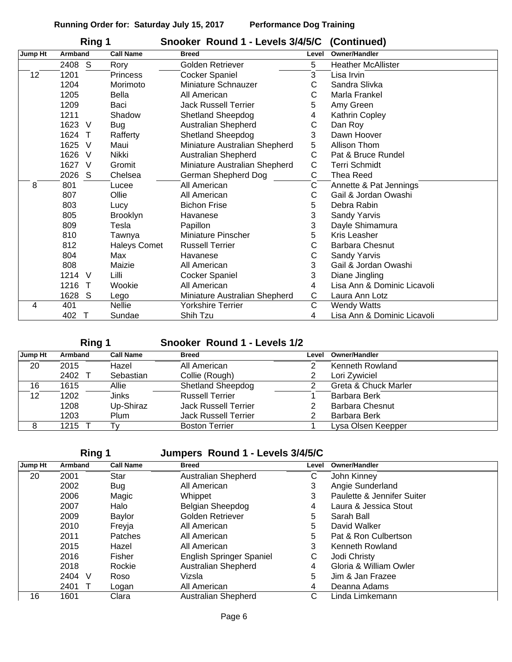| Ring 1  |                |                     | Snooker Round 1 - Levels 3/4/5/C (Continued) |       |                             |
|---------|----------------|---------------------|----------------------------------------------|-------|-----------------------------|
| Jump Ht | Armband        | <b>Call Name</b>    | <b>Breed</b>                                 | Level | Owner/Handler               |
|         | S<br>2408      | Rory                | Golden Retriever                             | 5     | <b>Heather McAllister</b>   |
| 12      | 1201           | <b>Princess</b>     | <b>Cocker Spaniel</b>                        | 3     | Lisa Irvin                  |
|         | 1204           | Morimoto            | Miniature Schnauzer                          | С     | Sandra Slivka               |
|         | 1205           | <b>Bella</b>        | All American                                 | С     | Marla Frankel               |
|         | 1209           | Baci                | <b>Jack Russell Terrier</b>                  | 5     | Amy Green                   |
|         | 1211           | Shadow              | <b>Shetland Sheepdog</b>                     | 4     | Kathrin Copley              |
|         | 1623 V         | <b>Bug</b>          | Australian Shepherd                          | C     | Dan Roy                     |
|         | 1624<br>$\top$ | Rafferty            | Shetland Sheepdog                            | 3     | Dawn Hoover                 |
|         | 1625<br>$\vee$ | Maui                | Miniature Australian Shepherd                | 5     | Allison Thom                |
|         | 1626<br>$\vee$ | Nikki               | Australian Shepherd                          | C     | Pat & Bruce Rundel          |
|         | 1627<br>$\vee$ | Gromit              | Miniature Australian Shepherd                | C     | <b>Terri Schmidt</b>        |
|         | S<br>2026      | Chelsea             | German Shepherd Dog                          | С     | <b>Thea Reed</b>            |
| 8       | 801            | Lucee               | All American                                 | С     | Annette & Pat Jennings      |
|         | 807            | Ollie               | All American                                 | С     | Gail & Jordan Owashi        |
|         | 803            | Lucy                | <b>Bichon Frise</b>                          | 5     | Debra Rabin                 |
|         | 805            | <b>Brooklyn</b>     | Havanese                                     | 3     | <b>Sandy Yarvis</b>         |
|         | 809            | Tesla               | Papillon                                     | 3     | Dayle Shimamura             |
|         | 810            | Tawnya              | Miniature Pinscher                           | 5     | Kris Leasher                |
|         | 812            | <b>Haleys Comet</b> | <b>Russell Terrier</b>                       | C     | <b>Barbara Chesnut</b>      |
|         | 804            | Max                 | Havanese                                     | C     | Sandy Yarvis                |
|         | 808            | Maizie              | All American                                 | 3     | Gail & Jordan Owashi        |
|         | 1214<br>$\vee$ | Lilli               | <b>Cocker Spaniel</b>                        | 3     | Diane Jingling              |
|         | 1216<br>т      | Wookie              | All American                                 | 4     | Lisa Ann & Dominic Licavoli |
|         | 1628<br>S      | Lego                | Miniature Australian Shepherd                | C     | Laura Ann Lotz              |
| 4       | 401            | <b>Nellie</b>       | <b>Yorkshire Terrier</b>                     | C     | <b>Wendy Watts</b>          |
|         | 402<br>$\top$  | Sundae              | Shih Tzu                                     | 4     | Lisa Ann & Dominic Licavoli |

**Ring 1 Snooker Round 1 - Levels 1/2**

| Jump Ht | Armband  | <b>Call Name</b> | <b>Breed</b>                | Level | <b>Owner/Handler</b>   |
|---------|----------|------------------|-----------------------------|-------|------------------------|
| 20      | 2015     | Hazel            | All American                |       | Kenneth Rowland        |
|         | 2402 T   | Sebastian        | Collie (Rough)              |       | Lori Zywiciel          |
| 16      | 1615     | Allie            | <b>Shetland Sheepdog</b>    |       | Greta & Chuck Marler   |
| 12      | 1202     | Jinks            | <b>Russell Terrier</b>      |       | Barbara Berk           |
|         | 1208     | Up-Shiraz        | <b>Jack Russell Terrier</b> |       | <b>Barbara Chesnut</b> |
|         | 1203     | Plum             | <b>Jack Russell Terrier</b> |       | Barbara Berk           |
|         | $1215$ T |                  | <b>Boston Terrier</b>       |       | Lysa Olsen Keepper     |

**Ring 1 Jumpers Round 1 - Levels 3/4/5/C**

| Jump Ht | Armband | <b>Call Name</b> | <b>Breed</b>               | Level | Owner/Handler              |
|---------|---------|------------------|----------------------------|-------|----------------------------|
| 20      | 2001    | Star             | Australian Shepherd        | C     | John Kinney                |
|         | 2002    | Bug              | All American               | 3     | Angie Sunderland           |
|         | 2006    | Magic            | Whippet                    | 3     | Paulette & Jennifer Suiter |
|         | 2007    | Halo             | <b>Belgian Sheepdog</b>    | 4     | Laura & Jessica Stout      |
|         | 2009    | Baylor           | Golden Retriever           | 5     | Sarah Ball                 |
|         | 2010    | Freyja           | All American               | 5     | David Walker               |
|         | 2011    | Patches          | All American               | 5     | Pat & Ron Culbertson       |
|         | 2015    | Hazel            | All American               | 3     | Kenneth Rowland            |
|         | 2016    | Fisher           | English Springer Spaniel   | С     | Jodi Christy               |
|         | 2018    | Rockie           | Australian Shepherd        | 4     | Gloria & William Owler     |
|         | 2404 V  | Roso             | Vizsla                     | 5     | Jim & Jan Frazee           |
|         | 2401    | Logan            | All American               | 4     | Deanna Adams               |
| 16      | 1601    | Clara            | <b>Australian Shepherd</b> | С     | Linda Limkemann            |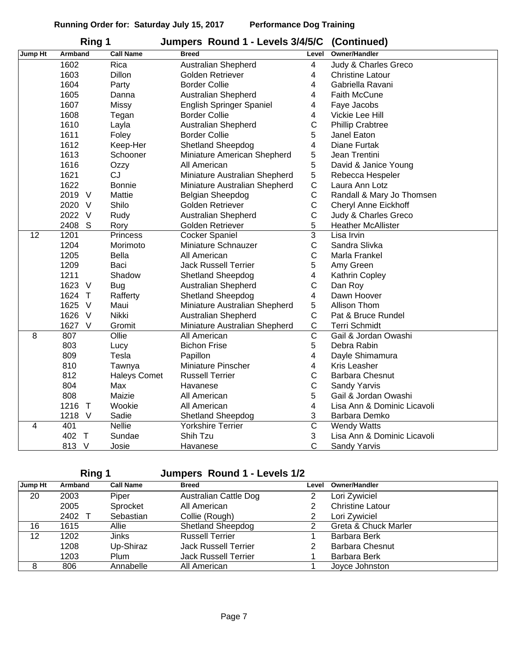|                | Ring 1         |                     | Jumpers Round 1 - Levels 3/4/5/C | (Continued)           |                             |
|----------------|----------------|---------------------|----------------------------------|-----------------------|-----------------------------|
| <b>Jump Ht</b> | Armband        | <b>Call Name</b>    | <b>Breed</b>                     | Level                 | <b>Owner/Handler</b>        |
|                | 1602           | Rica                | Australian Shepherd              | 4                     | Judy & Charles Greco        |
|                | 1603           | Dillon              | Golden Retriever                 | 4                     | <b>Christine Latour</b>     |
|                | 1604           | Party               | <b>Border Collie</b>             | 4                     | Gabriella Ravani            |
|                | 1605           | Danna               | Australian Shepherd              | 4                     | <b>Faith McCune</b>         |
|                | 1607           | Missy               | English Springer Spaniel         | 4                     | Faye Jacobs                 |
|                | 1608           | Tegan               | <b>Border Collie</b>             | 4                     | Vickie Lee Hill             |
|                | 1610           | Layla               | Australian Shepherd              | $\mathsf C$           | <b>Phillip Crabtree</b>     |
|                | 1611           | Foley               | <b>Border Collie</b>             | 5                     | Janel Eaton                 |
|                | 1612           | Keep-Her            | <b>Shetland Sheepdog</b>         | 4                     | Diane Furtak                |
|                | 1613           | Schooner            | Miniature American Shepherd      | 5                     | Jean Trentini               |
|                | 1616           | Ozzy                | All American                     | 5                     | David & Janice Young        |
|                | 1621           | <b>CJ</b>           | Miniature Australian Shepherd    | 5                     | Rebecca Hespeler            |
|                | 1622           | <b>Bonnie</b>       | Miniature Australian Shepherd    | $\mathsf C$           | Laura Ann Lotz              |
|                | 2019 V         | Mattie              | Belgian Sheepdog                 | $\mathsf C$           | Randall & Mary Jo Thomsen   |
|                | 2020 V         | Shilo               | Golden Retriever                 | $\mathsf C$           | Cheryl Anne Eickhoff        |
|                | 2022 V         | Rudy                | <b>Australian Shepherd</b>       | C                     | Judy & Charles Greco        |
|                | 2408<br>S      | Rory                | Golden Retriever                 | 5                     | <b>Heather McAllister</b>   |
| 12             | 1201           | Princess            | Cocker Spaniel                   | $\overline{3}$        | Lisa Irvin                  |
|                | 1204           | Morimoto            | Miniature Schnauzer              | $\mathsf C$           | Sandra Slivka               |
|                | 1205           | <b>Bella</b>        | All American                     | $\mathsf C$           | Marla Frankel               |
|                | 1209           | Baci                | <b>Jack Russell Terrier</b>      | 5                     | Amy Green                   |
|                | 1211           | Shadow              | <b>Shetland Sheepdog</b>         | 4                     | Kathrin Copley              |
|                | 1623<br>$\vee$ | <b>Bug</b>          | Australian Shepherd              | $\mathsf C$           | Dan Roy                     |
|                | 1624<br>$\top$ | Rafferty            | Shetland Sheepdog                | 4                     | Dawn Hoover                 |
|                | 1625<br>$\vee$ | Maui                | Miniature Australian Shepherd    | 5                     | Allison Thom                |
|                | 1626 V         | Nikki               | <b>Australian Shepherd</b>       | $\mathsf C$           | Pat & Bruce Rundel          |
|                | 1627 V         | Gromit              | Miniature Australian Shepherd    | $\mathsf C$           | <b>Terri Schmidt</b>        |
| 8              | 807            | Ollie               | All American                     | $\overline{\text{c}}$ | Gail & Jordan Owashi        |
|                | 803            | Lucy                | <b>Bichon Frise</b>              | 5                     | Debra Rabin                 |
|                | 809            | Tesla               | Papillon                         | 4                     | Dayle Shimamura             |
|                | 810            | Tawnya              | Miniature Pinscher               | 4                     | <b>Kris Leasher</b>         |
|                | 812            | <b>Haleys Comet</b> | <b>Russell Terrier</b>           | $\mathsf{C}$          | <b>Barbara Chesnut</b>      |
|                | 804            | Max                 | Havanese                         | $\mathsf C$           | Sandy Yarvis                |
|                | 808            | Maizie              | All American                     | 5                     | Gail & Jordan Owashi        |
|                | 1216<br>$\top$ | Wookie              | All American                     | 4                     | Lisa Ann & Dominic Licavoli |
|                | 1218<br>$\vee$ | Sadie               | <b>Shetland Sheepdog</b>         | 3                     | Barbara Demko               |
| 4              | 401            | <b>Nellie</b>       | <b>Yorkshire Terrier</b>         | $\overline{\text{c}}$ | <b>Wendy Watts</b>          |
|                | 402 T          | Sundae              | Shih Tzu                         | 3                     | Lisa Ann & Dominic Licavoli |
|                | 813 V          | Josie               | Havanese                         | $\mathsf{C}$          | Sandy Yarvis                |

**Ring 1 Jumpers Round 1 - Levels 1/2**

| Jump Ht | Armband | <b>Call Name</b> | <b>Breed</b>                 | Level | <b>Owner/Handler</b>    |
|---------|---------|------------------|------------------------------|-------|-------------------------|
| 20      | 2003    | Piper            | <b>Australian Cattle Dog</b> |       | Lori Zywiciel           |
|         | 2005    | Sprocket         | All American                 |       | <b>Christine Latour</b> |
|         | 2402    | Sebastian        | Collie (Rough)               |       | Lori Zywiciel           |
| 16      | 1615    | Allie            | <b>Shetland Sheepdog</b>     |       | Greta & Chuck Marler    |
| 12      | 1202    | Jinks            | <b>Russell Terrier</b>       |       | Barbara Berk            |
|         | 1208    | Up-Shiraz        | <b>Jack Russell Terrier</b>  |       | <b>Barbara Chesnut</b>  |
|         | 1203    | Plum             | <b>Jack Russell Terrier</b>  |       | Barbara Berk            |
| 8       | 806     | Annabelle        | All American                 |       | Joyce Johnston          |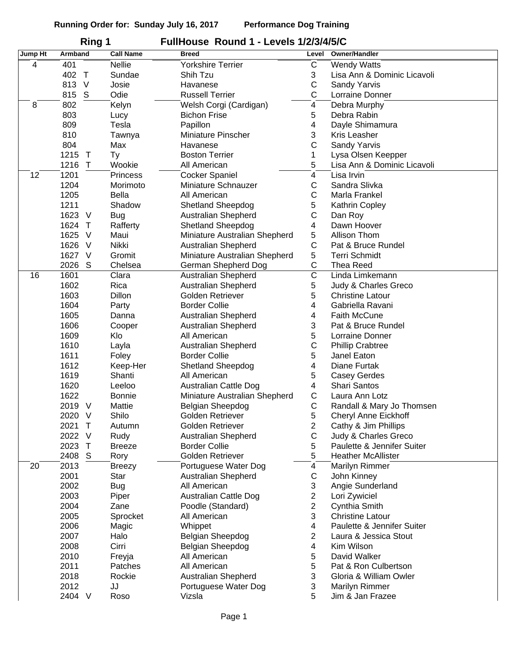|         | Ring 1         |                   | FullHouse Round 1 - Levels 1/2/3/4/5/C |                |                             |
|---------|----------------|-------------------|----------------------------------------|----------------|-----------------------------|
| Jump Ht | Armband        | <b>Call Name</b>  | <b>Breed</b>                           | Level          | Owner/Handler               |
| 4       | 401            | <b>Nellie</b>     | <b>Yorkshire Terrier</b>               | С              | <b>Wendy Watts</b>          |
|         | 402 T          | Sundae            | Shih Tzu                               | 3              | Lisa Ann & Dominic Licavoli |
|         | 813 V          | Josie             | Havanese                               | С              | Sandy Yarvis                |
|         | 815 S          | Odie              | <b>Russell Terrier</b>                 | С              | Lorraine Donner             |
| 8       | 802            | Kelyn             | Welsh Corgi (Cardigan)                 | 4              | Debra Murphy                |
|         | 803            | Lucy              | <b>Bichon Frise</b>                    | 5              | Debra Rabin                 |
|         | 809            | Tesla             | Papillon                               | 4              | Dayle Shimamura             |
|         | 810            | Tawnya            | Miniature Pinscher                     | 3              | <b>Kris Leasher</b>         |
|         | 804            | Max               | Havanese                               | C              | Sandy Yarvis                |
|         | 1215<br>$\top$ | Ty                | <b>Boston Terrier</b>                  | 1              | Lysa Olsen Keepper          |
|         | 1216<br>$\top$ | Wookie            | All American                           | 5              | Lisa Ann & Dominic Licavoli |
| 12      | 1201           | <b>Princess</b>   | <b>Cocker Spaniel</b>                  | 4              | Lisa Irvin                  |
|         | 1204           | Morimoto          | Miniature Schnauzer                    | С              | Sandra Slivka               |
|         | 1205           | Bella             | All American                           | С              | Marla Frankel               |
|         | 1211           | Shadow            | Shetland Sheepdog                      | 5              | Kathrin Copley              |
|         | 1623 V         | <b>Bug</b>        | Australian Shepherd                    | C              | Dan Roy                     |
|         | 1624<br>$\top$ | Rafferty          | <b>Shetland Sheepdog</b>               | 4              | Dawn Hoover                 |
|         | 1625<br>$\vee$ | Maui              | Miniature Australian Shepherd          | 5              | Allison Thom                |
|         | 1626 V         | Nikki             | <b>Australian Shepherd</b>             | C              | Pat & Bruce Rundel          |
|         | 1627<br>V      | Gromit            | Miniature Australian Shepherd          | 5              | <b>Terri Schmidt</b>        |
|         | 2026<br>S      | Chelsea           | German Shepherd Dog                    | C              | <b>Thea Reed</b>            |
| 16      | 1601           | Clara             | Australian Shepherd                    | C              | Linda Limkemann             |
|         | 1602           | Rica              | Australian Shepherd                    | 5              | Judy & Charles Greco        |
|         | 1603           | Dillon            | Golden Retriever                       | 5              | <b>Christine Latour</b>     |
|         | 1604           | Party             | <b>Border Collie</b>                   | 4              | Gabriella Ravani            |
|         | 1605           | Danna             | Australian Shepherd                    | 4              | <b>Faith McCune</b>         |
|         | 1606           | Cooper            | Australian Shepherd                    | 3              | Pat & Bruce Rundel          |
|         | 1609           | Klo               | All American                           | 5              | Lorraine Donner             |
|         | 1610           | Layla             | Australian Shepherd                    | C              | <b>Phillip Crabtree</b>     |
|         | 1611           | Foley             | <b>Border Collie</b>                   | 5              | Janel Eaton                 |
|         | 1612           | Keep-Her          | <b>Shetland Sheepdog</b>               | 4              | Diane Furtak                |
|         | 1619           | Shanti            | All American                           | 5              | Casey Gerdes                |
|         | 1620           | Leeloo            | <b>Australian Cattle Dog</b>           | 4              | Shari Santos                |
|         | 1622           | <b>Bonnie</b>     | Miniature Australian Shepherd          | C              | Laura Ann Lotz              |
|         | 2019<br>$\vee$ | Mattie            | Belgian Sheepdog                       | С              | Randall & Mary Jo Thomsen   |
|         | 2020 V         | Shilo             | Golden Retriever                       | 5              | Cheryl Anne Eickhoff        |
|         | 2021<br>$\top$ | Autumn            | Golden Retriever                       | 2              | Cathy & Jim Phillips        |
|         | 2022 V         | Rudy              | Australian Shepherd                    | С              | Judy & Charles Greco        |
|         | $\top$<br>2023 | <b>Breeze</b>     | <b>Border Collie</b>                   | 5              | Paulette & Jennifer Suiter  |
|         | 2408<br>S      | Rory              | Golden Retriever                       | 5              | <b>Heather McAllister</b>   |
| 20      | 2013           | <b>Breezy</b>     | Portuguese Water Dog                   | 4              | Marilyn Rimmer              |
|         | 2001           | Star              | <b>Australian Shepherd</b>             | $\mathsf C$    | John Kinney                 |
|         | 2002           | <b>Bug</b>        | All American                           | 3              | Angie Sunderland            |
|         | 2003           | Piper             | <b>Australian Cattle Dog</b>           | $\overline{2}$ | Lori Zywiciel               |
|         | 2004           | Zane              | Poodle (Standard)                      | $\overline{2}$ | Cynthia Smith               |
|         | 2005           | Sprocket          | All American                           | 3              | <b>Christine Latour</b>     |
|         | 2006           | Magic             | Whippet                                | 4              | Paulette & Jennifer Suiter  |
|         | 2007           | Halo              | Belgian Sheepdog                       | 2              | Laura & Jessica Stout       |
|         | 2008           | Cirri             | Belgian Sheepdog                       | 4              | Kim Wilson                  |
|         | 2010           |                   | All American                           | 5              | David Walker                |
|         | 2011           | Freyja<br>Patches | All American                           | 5              | Pat & Ron Culbertson        |
|         | 2018           | Rockie            | Australian Shepherd                    | 3              | Gloria & William Owler      |
|         | 2012           | JJ                | Portuguese Water Dog                   | 3              | Marilyn Rimmer              |
|         | 2404 V         | Roso              | Vizsla                                 | 5              | Jim & Jan Frazee            |
|         |                |                   |                                        |                |                             |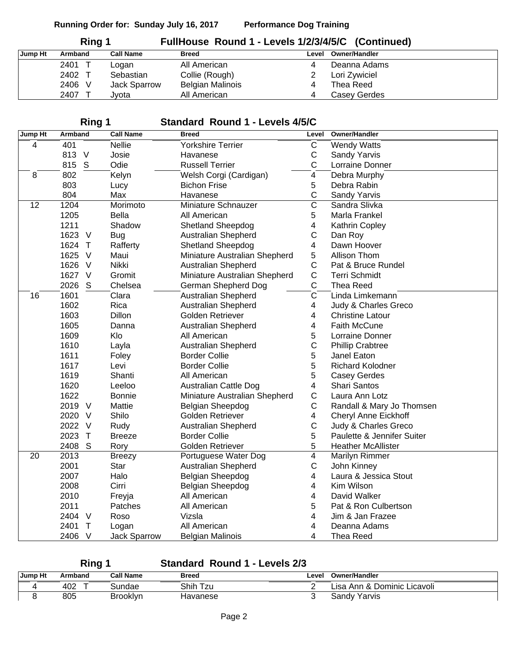| Ring 1  |         |                  | FullHouse Round 1 - Levels 1/2/3/4/5/C (Continued) |       |                      |
|---------|---------|------------------|----------------------------------------------------|-------|----------------------|
| Jump Ht | Armband | <b>Call Name</b> | <b>Breed</b>                                       | Level | <b>Owner/Handler</b> |
|         | 2401    | ∟oqan            | All American                                       |       | Deanna Adams         |
|         | 2402 T  | Sebastian        | Collie (Rough)                                     |       | Lori Zywiciel        |
|         | 2406 V  | Jack Sparrow     | <b>Belgian Malinois</b>                            |       | Thea Reed            |
|         | 2407    | Jvota            | All American                                       |       | <b>Casey Gerdes</b>  |

## **Ring 1 Standard Round 1 - Levels 4/5/C**

| Jump Ht | Armband        | <b>Call Name</b> | <b>Breed</b>                  | Level                   | Owner/Handler               |
|---------|----------------|------------------|-------------------------------|-------------------------|-----------------------------|
| 4       | 401            | <b>Nellie</b>    | <b>Yorkshire Terrier</b>      | C                       | <b>Wendy Watts</b>          |
|         | 813 V          | Josie            | Havanese                      | $\mathsf C$             | Sandy Yarvis                |
|         | 815 S          | Odie             | <b>Russell Terrier</b>        | $\mathsf{C}$            | Lorraine Donner             |
| 8       | 802            | Kelyn            | Welsh Corgi (Cardigan)        | 4                       | Debra Murphy                |
|         | 803            | Lucy             | <b>Bichon Frise</b>           | 5                       | Debra Rabin                 |
|         | 804            | Max              | Havanese                      | C                       | Sandy Yarvis                |
| 12      | 1204           | Morimoto         | Miniature Schnauzer           | $\overline{\text{c}}$   | Sandra Slivka               |
|         | 1205           | <b>Bella</b>     | All American                  | 5                       | Marla Frankel               |
|         | 1211           | Shadow           | <b>Shetland Sheepdog</b>      | 4                       | Kathrin Copley              |
|         | 1623 V         | <b>Bug</b>       | <b>Australian Shepherd</b>    | C                       | Dan Roy                     |
|         | 1624 T         | Rafferty         | Shetland Sheepdog             | 4                       | Dawn Hoover                 |
|         | 1625<br>$\vee$ | Maui             | Miniature Australian Shepherd | 5                       | Allison Thom                |
|         | 1626<br>$\vee$ | Nikki            | <b>Australian Shepherd</b>    | $\mathsf C$             | Pat & Bruce Rundel          |
|         | 1627<br>$\vee$ | Gromit           | Miniature Australian Shepherd | C                       | <b>Terri Schmidt</b>        |
|         | 2026<br>S      | Chelsea          | German Shepherd Dog           | C                       | <b>Thea Reed</b>            |
| 16      | 1601           | Clara            | <b>Australian Shepherd</b>    | $\overline{\mathsf{c}}$ | Linda Limkemann             |
|         | 1602           | Rica             | <b>Australian Shepherd</b>    | 4                       | Judy & Charles Greco        |
|         | 1603           | Dillon           | Golden Retriever              | 4                       | <b>Christine Latour</b>     |
|         | 1605           | Danna            | <b>Australian Shepherd</b>    | 4                       | Faith McCune                |
|         | 1609           | Klo              | All American                  | 5                       | Lorraine Donner             |
|         | 1610           | Layla            | Australian Shepherd           | C                       | <b>Phillip Crabtree</b>     |
|         | 1611           | Foley            | <b>Border Collie</b>          | 5                       | Janel Eaton                 |
|         | 1617           | Levi             | <b>Border Collie</b>          | 5                       | <b>Richard Kolodner</b>     |
|         | 1619           | Shanti           | All American                  | 5                       | <b>Casey Gerdes</b>         |
|         | 1620           | Leeloo           | Australian Cattle Dog         | 4                       | Shari Santos                |
|         | 1622           | <b>Bonnie</b>    | Miniature Australian Shepherd | $\mathsf C$             | Laura Ann Lotz              |
|         | 2019 V         | Mattie           | Belgian Sheepdog              | C                       | Randall & Mary Jo Thomsen   |
|         | 2020<br>- V    | Shilo            | Golden Retriever              | 4                       | <b>Cheryl Anne Eickhoff</b> |
|         | 2022<br>$\vee$ | Rudy             | <b>Australian Shepherd</b>    | $\mathsf C$             | Judy & Charles Greco        |
|         | 2023<br>$\top$ | <b>Breeze</b>    | <b>Border Collie</b>          | 5                       | Paulette & Jennifer Suiter  |
|         | 2408<br>S      | Rory             | Golden Retriever              | 5                       | <b>Heather McAllister</b>   |
| 20      | 2013           | <b>Breezy</b>    | Portuguese Water Dog          | 4                       | <b>Marilyn Rimmer</b>       |
|         | 2001           | <b>Star</b>      | <b>Australian Shepherd</b>    | $\mathsf C$             | John Kinney                 |
|         | 2007           | Halo             | Belgian Sheepdog              | 4                       | Laura & Jessica Stout       |
|         | 2008           | Cirri            | Belgian Sheepdog              | 4                       | Kim Wilson                  |
|         | 2010           | Freyja           | All American                  | 4                       | David Walker                |
|         | 2011           | Patches          | All American                  | 5                       | Pat & Ron Culbertson        |
|         | 2404 V         | Roso             | Vizsla                        | 4                       | Jim & Jan Frazee            |
|         | 2401<br>$\top$ | Logan            | All American                  | 4                       | Deanna Adams                |
|         | 2406 V         | Jack Sparrow     | <b>Belgian Malinois</b>       | 4                       | Thea Reed                   |

**Ring 1 Standard Round 1 - Levels 2/3**

| Jump Ht | Armband | <b>Call Name</b> | Breed    | Level | Owner/Handler               |
|---------|---------|------------------|----------|-------|-----------------------------|
|         | 402     | sundae           | Shih Tzu | -     | Lisa Ann & Dominic Licavoli |
|         | 805     | Brooklyn         | Havanese | ີ     | Yarvis<br>Sandv             |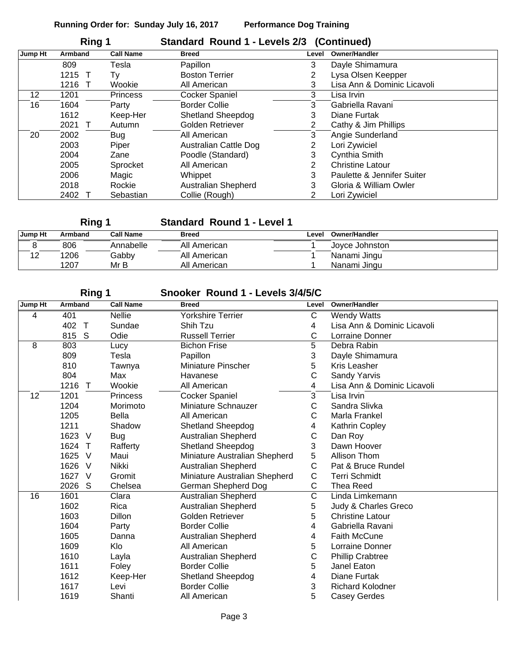|         | Ring 1         |                  | Standard Round 1 - Levels 2/3 (Continued) |                       |                             |
|---------|----------------|------------------|-------------------------------------------|-----------------------|-----------------------------|
| Jump Ht | <b>Armband</b> | <b>Call Name</b> | <b>Breed</b>                              | Level                 | Owner/Handler               |
|         | 809            | Tesla            | Papillon                                  | 3                     | Dayle Shimamura             |
|         | 1215<br>$\top$ | Tv               | <b>Boston Terrier</b>                     | 2                     | Lysa Olsen Keepper          |
|         | 1216           | Wookie           | All American                              | 3                     | Lisa Ann & Dominic Licavoli |
| 12      | 1201           | <b>Princess</b>  | <b>Cocker Spaniel</b>                     | 3                     | Lisa Irvin                  |
| 16      | 1604           | Party            | <b>Border Collie</b>                      | 3                     | Gabriella Ravani            |
|         | 1612           | Keep-Her         | <b>Shetland Sheepdog</b>                  | 3                     | Diane Furtak                |
|         | 2021           | Autumn           | Golden Retriever                          | $\mathbf{2}^{\prime}$ | Cathy & Jim Phillips        |
| 20      | 2002           | <b>Bug</b>       | All American                              | 3                     | Angie Sunderland            |
|         | 2003           | Piper            | <b>Australian Cattle Dog</b>              | 2                     | Lori Zywiciel               |
|         | 2004           | Zane             | Poodle (Standard)                         | 3                     | Cynthia Smith               |
|         | 2005           | Sprocket         | All American                              | $\overline{2}$        | <b>Christine Latour</b>     |
|         | 2006           | Magic            | Whippet                                   | 3                     | Paulette & Jennifer Suiter  |
|         | 2018           | Rockie           | <b>Australian Shepherd</b>                | 3                     | Gloria & William Owler      |
|         | 2402           | Sebastian        | Collie (Rough)                            | 2                     | Lori Zywiciel               |

**Ring 1 Standard Round 1 - Level 1**

| Jump Ht | Armband | Call Name | <b>Breed</b> | Level | Owner/Handler  |
|---------|---------|-----------|--------------|-------|----------------|
|         | 806     | Annabelle | All American |       | Jovce Johnston |
|         | 1206    | Gabby     | All American |       | Nanami Jingu   |
|         | 1207    | Mr B      | All American |       | Nanami Jingu   |

| Rına |  |
|------|--|
|      |  |

### **Ring 1 Snooker Round 1 - Levels 3/4/5/C**

| Jump Ht | Armband              | <b>Call Name</b> | <b>Breed</b>                  | Level | Owner/Handler               |
|---------|----------------------|------------------|-------------------------------|-------|-----------------------------|
| 4       | 401                  | <b>Nellie</b>    | <b>Yorkshire Terrier</b>      | C     | <b>Wendy Watts</b>          |
|         | 402 T                | Sundae           | Shih Tzu                      | 4     | Lisa Ann & Dominic Licavoli |
|         | 815 S                | Odie             | <b>Russell Terrier</b>        | С     | Lorraine Donner             |
| 8       | 803                  | Lucy             | <b>Bichon Frise</b>           | 5     | Debra Rabin                 |
|         | 809                  | Tesla            | Papillon                      | 3     | Dayle Shimamura             |
|         | 810                  | Tawnya           | <b>Miniature Pinscher</b>     | 5     | <b>Kris Leasher</b>         |
|         | 804                  | Max              | Havanese                      | С     | Sandy Yarvis                |
|         | 1216 T               | Wookie           | All American                  | 4     | Lisa Ann & Dominic Licavoli |
| 12      | 1201                 | <b>Princess</b>  | Cocker Spaniel                | 3     | Lisa Irvin                  |
|         | 1204                 | Morimoto         | Miniature Schnauzer           | С     | Sandra Slivka               |
|         | 1205                 | Bella            | All American                  | С     | Marla Frankel               |
|         | 1211                 | Shadow           | Shetland Sheepdog             | 4     | Kathrin Copley              |
|         | 1623 V               | <b>Bug</b>       | <b>Australian Shepherd</b>    | C     | Dan Roy                     |
|         | 1624 T               | Rafferty         | Shetland Sheepdog             | 3     | Dawn Hoover                 |
|         | 1625<br>$\vee$       | Maui             | Miniature Australian Shepherd | 5     | Allison Thom                |
|         | 1626 V               | Nikki            | Australian Shepherd           | C     | Pat & Bruce Rundel          |
|         | 1627<br><b>V</b>     | Gromit           | Miniature Australian Shepherd | С     | <b>Terri Schmidt</b>        |
|         | 2026<br><sub>S</sub> | Chelsea          | German Shepherd Dog           | C     | <b>Thea Reed</b>            |
| 16      | 1601                 | Clara            | Australian Shepherd           | Ć     | Linda Limkemann             |
|         | 1602                 | Rica             | Australian Shepherd           | 5     | Judy & Charles Greco        |
|         | 1603                 | <b>Dillon</b>    | Golden Retriever              | 5     | <b>Christine Latour</b>     |
|         | 1604                 | Party            | <b>Border Collie</b>          | 4     | Gabriella Ravani            |
|         | 1605                 | Danna            | Australian Shepherd           | 4     | <b>Faith McCune</b>         |
|         | 1609                 | Klo              | All American                  | 5     | Lorraine Donner             |
|         | 1610                 | Layla            | Australian Shepherd           | C     | <b>Phillip Crabtree</b>     |
|         | 1611                 | Foley            | <b>Border Collie</b>          | 5     | Janel Eaton                 |
|         | 1612                 | Keep-Her         | <b>Shetland Sheepdog</b>      | 4     | Diane Furtak                |
|         | 1617                 | Levi             | <b>Border Collie</b>          | 3     | <b>Richard Kolodner</b>     |
|         | 1619                 | Shanti           | All American                  | 5     | Casey Gerdes                |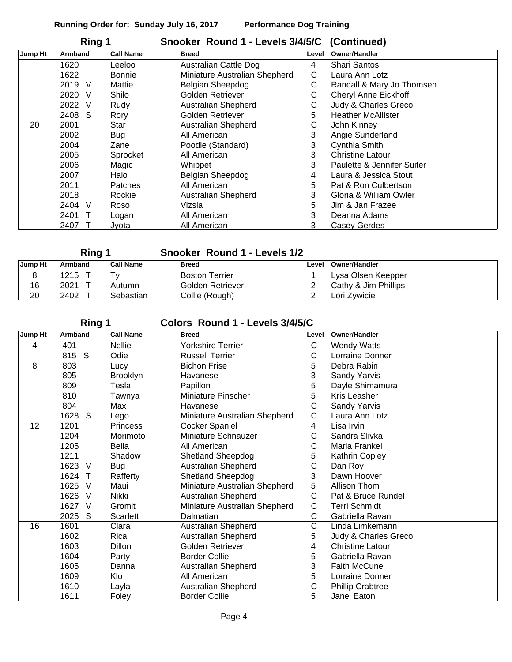| Ring 1  |           |                  | Snooker Round 1 - Levels 3/4/5/C (Continued) |       |                             |
|---------|-----------|------------------|----------------------------------------------|-------|-----------------------------|
| Jump Ht | Armband   | <b>Call Name</b> | <b>Breed</b>                                 | Level | <b>Owner/Handler</b>        |
|         | 1620      | Leeloo           | <b>Australian Cattle Dog</b>                 | 4     | <b>Shari Santos</b>         |
|         | 1622      | <b>Bonnie</b>    | Miniature Australian Shepherd                | С     | Laura Ann Lotz              |
|         | 2019<br>V | Mattie           | Belgian Sheepdog                             | С     | Randall & Mary Jo Thomsen   |
|         | 2020<br>V | Shilo            | Golden Retriever                             | С     | <b>Cheryl Anne Eickhoff</b> |
|         | 2022<br>V | Rudy             | <b>Australian Shepherd</b>                   | С     | Judy & Charles Greco        |
|         | 2408<br>S | Rory             | Golden Retriever                             | 5     | <b>Heather McAllister</b>   |
| 20      | 2001      | Star             | <b>Australian Shepherd</b>                   | C     | John Kinney                 |
|         | 2002      | Bug              | All American                                 | 3     | Angie Sunderland            |
|         | 2004      | Zane             | Poodle (Standard)                            | 3     | Cynthia Smith               |
|         | 2005      | Sprocket         | All American                                 | 3     | <b>Christine Latour</b>     |
|         | 2006      | Magic            | Whippet                                      | 3     | Paulette & Jennifer Suiter  |
|         | 2007      | Halo             | Belgian Sheepdog                             | 4     | Laura & Jessica Stout       |
|         | 2011      | Patches          | All American                                 | 5     | Pat & Ron Culbertson        |
|         | 2018      | Rockie           | Australian Shepherd                          | 3     | Gloria & William Owler      |
|         | 2404<br>V | Roso             | Vizsla                                       | 5.    | Jim & Jan Frazee            |
|         | 2401      | Logan            | All American                                 | 3     | Deanna Adams                |
|         | 2407      | Jyota            | All American                                 | 3     | <b>Casey Gerdes</b>         |

| Ring 1  |         |                  | Snooker Round 1 - Levels 1/2 |       |                      |
|---------|---------|------------------|------------------------------|-------|----------------------|
| Jump Ht | Armband | <b>Call Name</b> | <b>Breed</b>                 | Level | Owner/Handler        |
|         | 1215    |                  | <b>Boston Terrier</b>        |       | Lysa Olsen Keepper   |
| 16      | 2021    | Autumn           | Golden Retriever             |       | Cathy & Jim Phillips |
| 20      | 2402    | Sebastian        | Collie (Rough)               |       | Lori Zvwiciel        |

### **Ring 1 Colors Round 1 - Levels 3/4/5/C**

| Jump Ht | <b>Armband</b> | <b>Call Name</b> | <b>Breed</b>                  | Level | <b>Owner/Handler</b>    |
|---------|----------------|------------------|-------------------------------|-------|-------------------------|
| 4       | 401            | <b>Nellie</b>    | Yorkshire Terrier             | С     | <b>Wendy Watts</b>      |
|         | 815 S          | Odie             | <b>Russell Terrier</b>        | C     | Lorraine Donner         |
| 8       | 803            | Lucy             | <b>Bichon Frise</b>           | 5     | Debra Rabin             |
|         | 805            | <b>Brooklyn</b>  | Havanese                      | 3     | Sandy Yarvis            |
|         | 809            | Tesla            | Papillon                      | 5     | Dayle Shimamura         |
|         | 810            | Tawnya           | <b>Miniature Pinscher</b>     | 5     | <b>Kris Leasher</b>     |
|         | 804            | Max              | Havanese                      | С     | Sandy Yarvis            |
|         | 1628<br>S.     | Lego             | Miniature Australian Shepherd | C     | Laura Ann Lotz          |
| 12      | 1201           | <b>Princess</b>  | <b>Cocker Spaniel</b>         | 4     | Lisa Irvin              |
|         | 1204           | Morimoto         | Miniature Schnauzer           | С     | Sandra Slivka           |
|         | 1205           | Bella            | All American                  | С     | Marla Frankel           |
|         | 1211           | Shadow           | <b>Shetland Sheepdog</b>      | 5     | Kathrin Copley          |
|         | 1623 V         | <b>Bug</b>       | Australian Shepherd           | С     | Dan Roy                 |
|         | 1624 T         | Rafferty         | Shetland Sheepdog             | 3     | Dawn Hoover             |
|         | 1625<br>V      | Maui             | Miniature Australian Shepherd | 5     | Allison Thom            |
|         | 1626 V         | Nikki            | Australian Shepherd           | С     | Pat & Bruce Rundel      |
|         | 1627 V         | Gromit           | Miniature Australian Shepherd | С     | <b>Terri Schmidt</b>    |
|         | 2025<br>S      | Scarlett         | Dalmatian                     | C     | Gabriella Ravani        |
| 16      | 1601           | Clara            | Australian Shepherd           | C     | Linda Limkemann         |
|         | 1602           | Rica             | Australian Shepherd           | 5     | Judy & Charles Greco    |
|         | 1603           | Dillon           | <b>Golden Retriever</b>       | 4     | <b>Christine Latour</b> |
|         | 1604           | Party            | <b>Border Collie</b>          | 5     | Gabriella Ravani        |
|         | 1605           | Danna            | Australian Shepherd           | 3     | <b>Faith McCune</b>     |
|         | 1609           | Klo              | All American                  | 5     | Lorraine Donner         |
|         | 1610           | Layla            | Australian Shepherd           | С     | <b>Phillip Crabtree</b> |
|         | 1611           | Foley            | <b>Border Collie</b>          | 5     | Janel Eaton             |